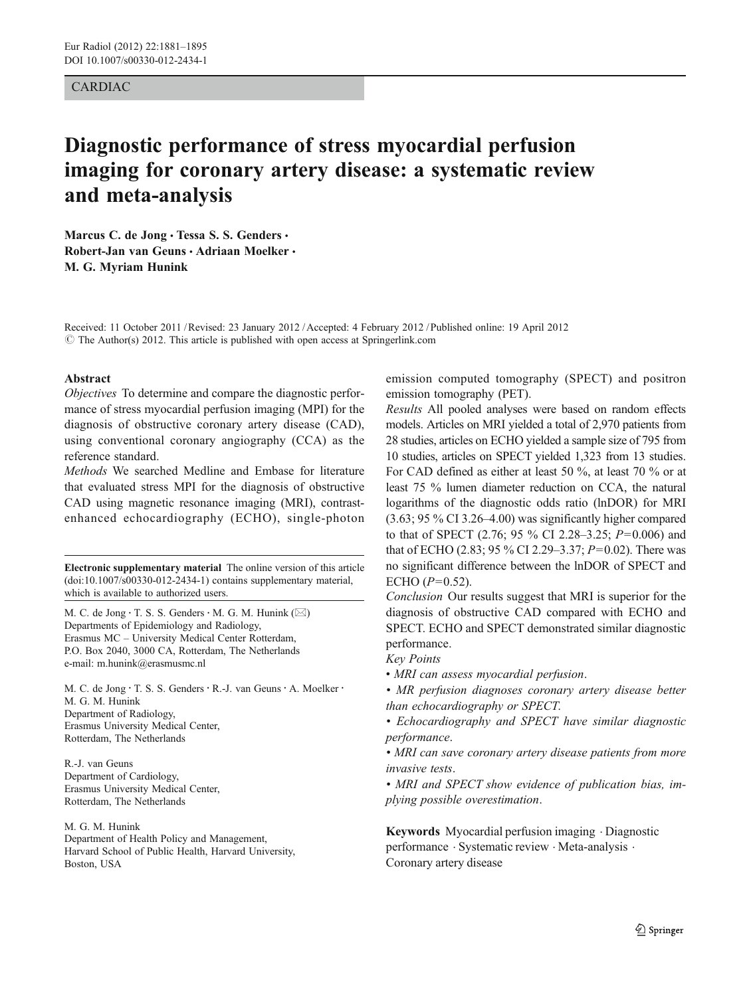# CARDIAC

# Diagnostic performance of stress myocardial perfusion imaging for coronary artery disease: a systematic review and meta-analysis

Marcus C. de Jong · Tessa S. S. Genders · Robert-Jan van Geuns · Adriaan Moelker · M. G. Myriam Hunink

Received: 11 October 2011 /Revised: 23 January 2012 /Accepted: 4 February 2012 / Published online: 19 April 2012  $\circ$  The Author(s) 2012. This article is published with open access at Springerlink.com

## Abstract

Objectives To determine and compare the diagnostic performance of stress myocardial perfusion imaging (MPI) for the diagnosis of obstructive coronary artery disease (CAD), using conventional coronary angiography (CCA) as the reference standard.

Methods We searched Medline and Embase for literature that evaluated stress MPI for the diagnosis of obstructive CAD using magnetic resonance imaging (MRI), contrastenhanced echocardiography (ECHO), single-photon

Electronic supplementary material The online version of this article (doi:[10.1007/s00330-012-2434-1](http://dx.doi.org/10.1007/s00330-012-2434-1)) contains supplementary material, which is available to authorized users.

M. C. de Jong  $\cdot$  T. S. S. Genders  $\cdot$  M. G. M. Hunink ( $\boxtimes$ ) Departments of Epidemiology and Radiology, Erasmus MC – University Medical Center Rotterdam, P.O. Box 2040, 3000 CA, Rotterdam, The Netherlands e-mail: m.hunink@erasmusmc.nl

M. C. de Jong · T. S. S. Genders · R.-J. van Geuns · A. Moelker · M. G. M. Hunink Department of Radiology, Erasmus University Medical Center, Rotterdam, The Netherlands

R.-J. van Geuns Department of Cardiology, Erasmus University Medical Center, Rotterdam, The Netherlands

M. G. M. Hunink Department of Health Policy and Management, Harvard School of Public Health, Harvard University, Boston, USA

emission computed tomography (SPECT) and positron emission tomography (PET).

Results All pooled analyses were based on random effects models. Articles on MRI yielded a total of 2,970 patients from 28 studies, articles on ECHO yielded a sample size of 795 from 10 studies, articles on SPECT yielded 1,323 from 13 studies. For CAD defined as either at least 50 %, at least 70 % or at least 75 % lumen diameter reduction on CCA, the natural logarithms of the diagnostic odds ratio (lnDOR) for MRI (3.63; 95 % CI 3.26–4.00) was significantly higher compared to that of SPECT (2.76; 95 % CI 2.28–3.25;  $P=0.006$ ) and that of ECHO (2.83; 95 % CI 2.29–3.37;  $P=0.02$ ). There was no significant difference between the lnDOR of SPECT and  $ECHO (P=0.52)$ .

Conclusion Our results suggest that MRI is superior for the diagnosis of obstructive CAD compared with ECHO and SPECT. ECHO and SPECT demonstrated similar diagnostic performance.

Key Points

• MRI can assess myocardial perfusion.

• MR perfusion diagnoses coronary artery disease better than echocardiography or SPECT.

• Echocardiography and SPECT have similar diagnostic performance.

• MRI can save coronary artery disease patients from more invasive tests.

• MRI and SPECT show evidence of publication bias, implying possible overestimation.

Keywords Myocardial perfusion imaging . Diagnostic performance . Systematic review . Meta-analysis . Coronary artery disease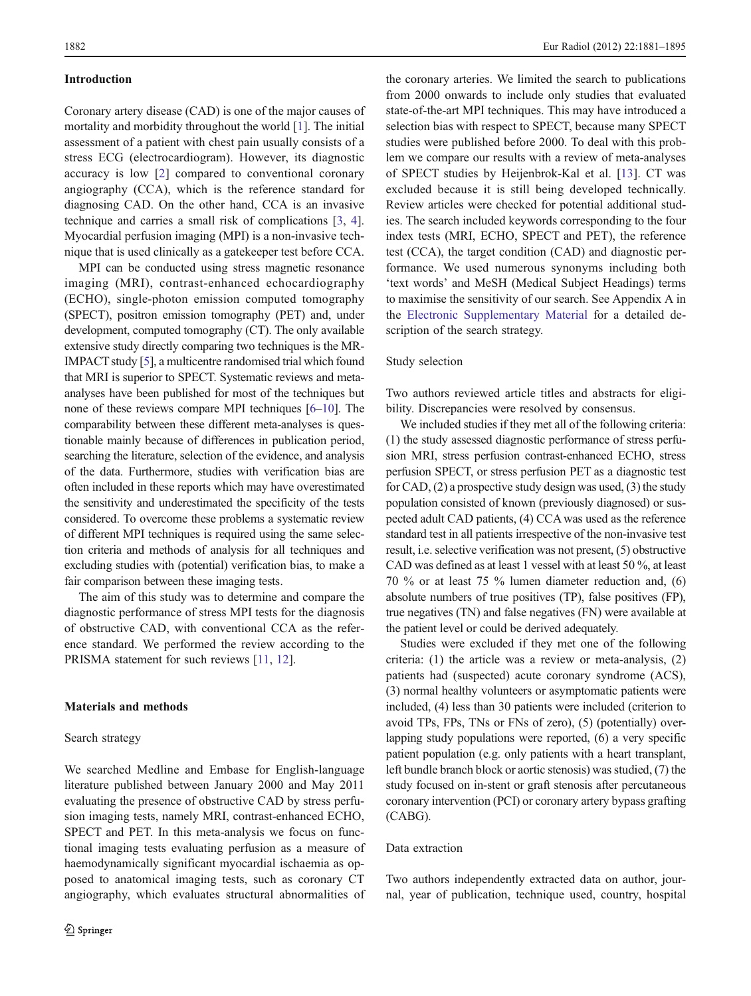# Introduction

Coronary artery disease (CAD) is one of the major causes of mortality and morbidity throughout the world [[1\]](#page-12-0). The initial assessment of a patient with chest pain usually consists of a stress ECG (electrocardiogram). However, its diagnostic accuracy is low [[2](#page-12-0)] compared to conventional coronary angiography (CCA), which is the reference standard for diagnosing CAD. On the other hand, CCA is an invasive technique and carries a small risk of complications [\[3](#page-12-0), [4](#page-12-0)]. Myocardial perfusion imaging (MPI) is a non-invasive technique that is used clinically as a gatekeeper test before CCA.

MPI can be conducted using stress magnetic resonance imaging (MRI), contrast-enhanced echocardiography (ECHO), single-photon emission computed tomography (SPECT), positron emission tomography (PET) and, under development, computed tomography (CT). The only available extensive study directly comparing two techniques is the MR-IMPACT study [\[5\]](#page-12-0), a multicentre randomised trial which found that MRI is superior to SPECT. Systematic reviews and metaanalyses have been published for most of the techniques but none of these reviews compare MPI techniques [[6](#page-12-0)–[10](#page-12-0)]. The comparability between these different meta-analyses is questionable mainly because of differences in publication period, searching the literature, selection of the evidence, and analysis of the data. Furthermore, studies with verification bias are often included in these reports which may have overestimated the sensitivity and underestimated the specificity of the tests considered. To overcome these problems a systematic review of different MPI techniques is required using the same selection criteria and methods of analysis for all techniques and excluding studies with (potential) verification bias, to make a fair comparison between these imaging tests.

The aim of this study was to determine and compare the diagnostic performance of stress MPI tests for the diagnosis of obstructive CAD, with conventional CCA as the reference standard. We performed the review according to the PRISMA statement for such reviews [\[11,](#page-12-0) [12](#page-12-0)].

## Materials and methods

#### Search strategy

We searched Medline and Embase for English-language literature published between January 2000 and May 2011 evaluating the presence of obstructive CAD by stress perfusion imaging tests, namely MRI, contrast-enhanced ECHO, SPECT and PET. In this meta-analysis we focus on functional imaging tests evaluating perfusion as a measure of haemodynamically significant myocardial ischaemia as opposed to anatomical imaging tests, such as coronary CT angiography, which evaluates structural abnormalities of

the coronary arteries. We limited the search to publications from 2000 onwards to include only studies that evaluated state-of-the-art MPI techniques. This may have introduced a selection bias with respect to SPECT, because many SPECT studies were published before 2000. To deal with this problem we compare our results with a review of meta-analyses of SPECT studies by Heijenbrok-Kal et al. [[13\]](#page-12-0). CT was excluded because it is still being developed technically. Review articles were checked for potential additional studies. The search included keywords corresponding to the four index tests (MRI, ECHO, SPECT and PET), the reference test (CCA), the target condition (CAD) and diagnostic performance. We used numerous synonyms including both 'text words' and MeSH (Medical Subject Headings) terms to maximise the sensitivity of our search. See Appendix A in the Electronic Supplementary Material for a detailed description of the search strategy.

#### Study selection

Two authors reviewed article titles and abstracts for eligibility. Discrepancies were resolved by consensus.

We included studies if they met all of the following criteria: (1) the study assessed diagnostic performance of stress perfusion MRI, stress perfusion contrast-enhanced ECHO, stress perfusion SPECT, or stress perfusion PET as a diagnostic test for CAD, (2) a prospective study design was used, (3) the study population consisted of known (previously diagnosed) or suspected adult CAD patients, (4) CCA was used as the reference standard test in all patients irrespective of the non-invasive test result, i.e. selective verification was not present, (5) obstructive CAD was defined as at least 1 vessel with at least 50 %, at least 70 % or at least 75 % lumen diameter reduction and, (6) absolute numbers of true positives (TP), false positives (FP), true negatives (TN) and false negatives (FN) were available at the patient level or could be derived adequately.

Studies were excluded if they met one of the following criteria: (1) the article was a review or meta-analysis, (2) patients had (suspected) acute coronary syndrome (ACS), (3) normal healthy volunteers or asymptomatic patients were included, (4) less than 30 patients were included (criterion to avoid TPs, FPs, TNs or FNs of zero), (5) (potentially) overlapping study populations were reported, (6) a very specific patient population (e.g. only patients with a heart transplant, left bundle branch block or aortic stenosis) was studied, (7) the study focused on in-stent or graft stenosis after percutaneous coronary intervention (PCI) or coronary artery bypass grafting (CABG).

## Data extraction

Two authors independently extracted data on author, journal, year of publication, technique used, country, hospital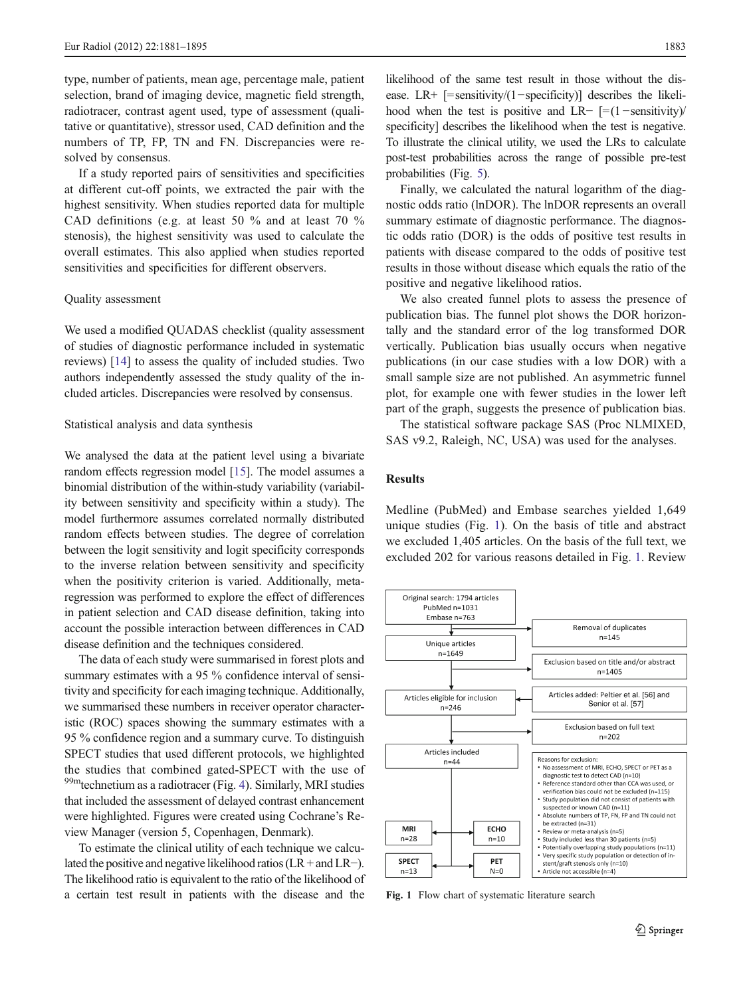type, number of patients, mean age, percentage male, patient selection, brand of imaging device, magnetic field strength, radiotracer, contrast agent used, type of assessment (qualitative or quantitative), stressor used, CAD definition and the numbers of TP, FP, TN and FN. Discrepancies were resolved by consensus.

If a study reported pairs of sensitivities and specificities at different cut-off points, we extracted the pair with the highest sensitivity. When studies reported data for multiple CAD definitions (e.g. at least 50 % and at least 70 % stenosis), the highest sensitivity was used to calculate the overall estimates. This also applied when studies reported sensitivities and specificities for different observers.

#### Quality assessment

We used a modified QUADAS checklist (quality assessment of studies of diagnostic performance included in systematic reviews) [[14\]](#page-12-0) to assess the quality of included studies. Two authors independently assessed the study quality of the included articles. Discrepancies were resolved by consensus.

# Statistical analysis and data synthesis

We analysed the data at the patient level using a bivariate random effects regression model [\[15](#page-12-0)]. The model assumes a binomial distribution of the within-study variability (variability between sensitivity and specificity within a study). The model furthermore assumes correlated normally distributed random effects between studies. The degree of correlation between the logit sensitivity and logit specificity corresponds to the inverse relation between sensitivity and specificity when the positivity criterion is varied. Additionally, metaregression was performed to explore the effect of differences in patient selection and CAD disease definition, taking into account the possible interaction between differences in CAD disease definition and the techniques considered.

The data of each study were summarised in forest plots and summary estimates with a 95 % confidence interval of sensitivity and specificity for each imaging technique. Additionally, we summarised these numbers in receiver operator characteristic (ROC) spaces showing the summary estimates with a 95 % confidence region and a summary curve. To distinguish SPECT studies that used different protocols, we highlighted the studies that combined gated-SPECT with the use of 99mtechnetium as a radiotracer (Fig. [4\)](#page-10-0). Similarly, MRI studies that included the assessment of delayed contrast enhancement were highlighted. Figures were created using Cochrane's Review Manager (version 5, Copenhagen, Denmark).

To estimate the clinical utility of each technique we calculated the positive and negative likelihood ratios (LR + and LR−). The likelihood ratio is equivalent to the ratio of the likelihood of a certain test result in patients with the disease and the

likelihood of the same test result in those without the disease. LR+  $[=$ sensitivity/(1−specificity)] describes the likelihood when the test is positive and LR−  $[=(1 - \text{sensitivity})/$ specificity] describes the likelihood when the test is negative. To illustrate the clinical utility, we used the LRs to calculate post-test probabilities across the range of possible pre-test probabilities (Fig. [5](#page-11-0)).

Finally, we calculated the natural logarithm of the diagnostic odds ratio (lnDOR). The lnDOR represents an overall summary estimate of diagnostic performance. The diagnostic odds ratio (DOR) is the odds of positive test results in patients with disease compared to the odds of positive test results in those without disease which equals the ratio of the positive and negative likelihood ratios.

We also created funnel plots to assess the presence of publication bias. The funnel plot shows the DOR horizontally and the standard error of the log transformed DOR vertically. Publication bias usually occurs when negative publications (in our case studies with a low DOR) with a small sample size are not published. An asymmetric funnel plot, for example one with fewer studies in the lower left part of the graph, suggests the presence of publication bias.

The statistical software package SAS (Proc NLMIXED, SAS v9.2, Raleigh, NC, USA) was used for the analyses.

#### Results

Medline (PubMed) and Embase searches yielded 1,649 unique studies (Fig. 1). On the basis of title and abstract we excluded 1,405 articles. On the basis of the full text, we excluded 202 for various reasons detailed in Fig. 1. Review



Fig. 1 Flow chart of systematic literature search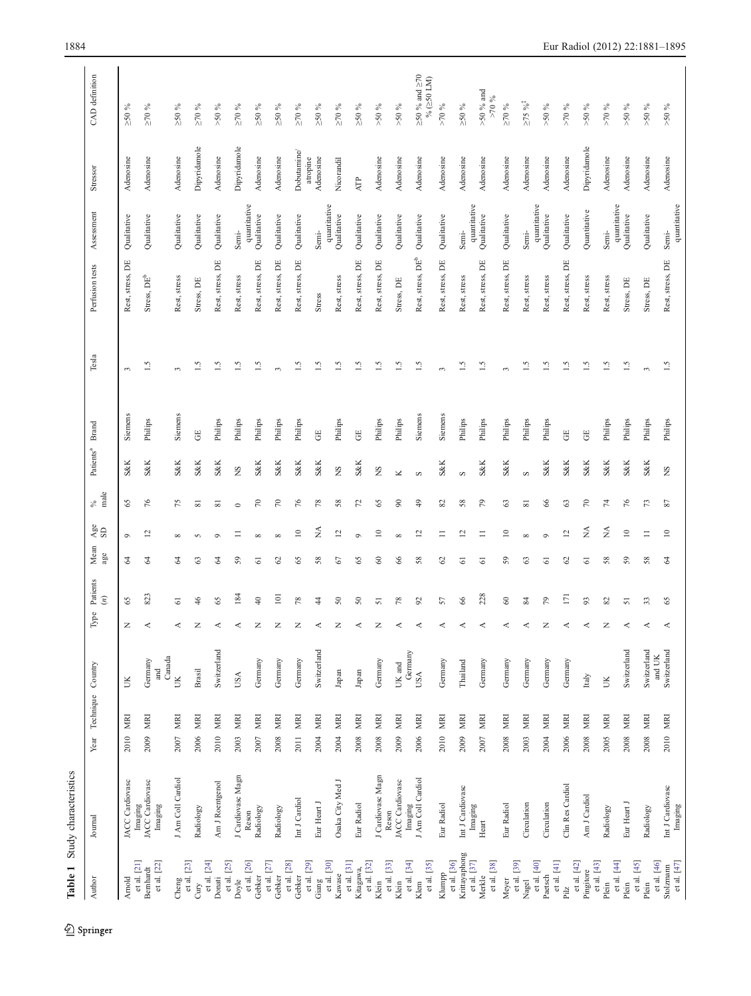<span id="page-3-0"></span>

| Table 1                                        | Study characteristics                 |          |                   |                                       |              |                                  |               |                         |                     |                       |              |                |                               |                             |                       |                                            |
|------------------------------------------------|---------------------------------------|----------|-------------------|---------------------------------------|--------------|----------------------------------|---------------|-------------------------|---------------------|-----------------------|--------------|----------------|-------------------------------|-----------------------------|-----------------------|--------------------------------------------|
| Author                                         | Journal                               | Year     | Technique Country |                                       | Type         | Patients<br>$\widehat{\epsilon}$ | Mean<br>age   | $_{\rm{AS}}^{\rm{age}}$ | male<br>న           | Patients <sup>a</sup> | Brand        | Tesla          | Perfusion tests               | Assessment                  | Stressor              | CAD definition                             |
| Arnold                                         | JACC Cardiovasc                       | 2010     | MRI               | JK                                    | $\mathsf{z}$ | 65                               | Z             | $\circ$                 | S                   | <b>S&amp;K</b>        | Siemens      | $\sim$         | Rest, stress, DE              | Qualitative                 | Adenosine             | $\approx 0.95$                             |
| et al. [21]<br>et al. [22]<br>Bemhardt         | JACC Cardiovasc<br>Imaging<br>Imaging | 2009 MRI |                   | Canada<br>Germany<br><sub>and</sub>   | ⋖            | 823                              | 2             | $\overline{c}$          | 76                  | S&K                   | Philips      | 1.5            | Stress, DE <sup>b</sup>       | Qualitative                 | Adenosine             | $\geq 70$ %                                |
| et al. [23]<br>Cheng                           | J Am Coll Cardiol                     | 2007     | MRI               | JK                                    | ⋖            | 5                                | 2             | $\infty$                | 75                  | <b>S&amp;K</b>        | Siemens      | $\epsilon$     | Rest, stress                  | Qualitative                 | Adenosine             | $\approx 0.95$                             |
| $\mbox{Cury}$                                  | Radiology                             | 2006 MRI |                   | Brasil                                | z            | $\frac{4}{5}$                    | S             | $\sqrt{2}$              | $\overline{\infty}$ | <b>S&amp;K</b>        | <b>GE</b>    | $\frac{5}{1}$  | Stress, DE                    | Qualitative                 | Dipyridamole          | $\geq 70$ %                                |
| et al. [24]<br>Donati                          | Am J Roentgenol                       | 2010     | MRI               | Switzerland                           | ≺            | 65                               | 2             | $\circ$                 | $\overline{\infty}$ | <b>S&amp;K</b>        | Philips      | $\frac{5}{1}$  | Rest, stress, DE              | Qualitative                 | Adenosine             | $\%$ 0 $\!>$                               |
| et al. [25]<br>Doyle                           | J Cardiovasc Magn                     | 2003     | MRI               | USA                                   | ≺            | 184                              | 59            |                         | $\circ$             | SN                    | Philips      | $\frac{5}{1}$  | Rest, stress                  | Semi-                       | Dipyridamole          | $\lesssim 70$ %                            |
| et al. [26]<br>Gebker                          | Radiology<br>Reson                    | 2007     | MRI               | Germany                               | z            | $\overline{a}$                   | 5             | $\infty$                | R                   | <b>S&amp;K</b>        | Philips      | $\frac{5}{2}$  | Rest, stress, DE              | quantitative<br>Qualitative | Adenosine             | $\approx 0.95$                             |
| et al. $[27]$<br>Gebker                        | Radiology                             | 2008     | MRI               | Germany                               | z            | $\Xi$                            | 2             | $\infty$                | $\mathcal{F}$       | <b>S&amp;K</b>        | Philips      | $\sim$         | Rest, stress, DE              | Qualitative                 | Adenosine             | $\approx 0.95$                             |
| et al. [28]<br>Gebker                          | Int J Cardiol                         | $2011$   | MRI               | Germany                               | Z            | $\frac{8}{2}$                    | SS            | $\overline{10}$         | 76                  | $S\&K$                | Philips      | 1.5            | Rest, stress, DE              | Qualitative                 | Dobutamine/           | $\geq 70$ %                                |
| et al. [29]<br>Giang                           | Eur Heart J                           | 2004     | MRI               | Switzerland                           | ≺            | $\ddot{a}$                       | 58            | ≨                       | 78                  | <b>S&amp;K</b>        | $\mathbb{B}$ | $\frac{5}{1}$  | Stress                        | Semi-                       | Adenosine<br>atropine | $\%$ 05 $\gtrsim$                          |
| et al. [30]<br>Kawase                          | Osaka City Med J                      | 2004 MRI |                   | $_{\rm{Japan}}$                       | z            | $\mathcal{S}$                    | 67            | $\overline{12}$         | 58                  | $\mathbf{S}$          | Philips      | 1.5            | Rest, stress                  | quantitative<br>Qualitative | Nicorandil            | $\geq 70$ %                                |
| et al. [31]<br>Kitagawa,                       | Eur Radiol                            | 2008 MRI |                   | ${\rm Japan}$                         | ⋖            | $\overline{50}$                  | 65            | $\circ$                 | 52                  | <b>S&amp;K</b>        | GE           | $\frac{5}{1}$  | Rest, stress, DE              | Qualitative                 | Ę                     | $\approx 0.95$                             |
| et al. [32]<br>Klein                           | J Cardiovasc Magn                     | 2008     | MRI               | Germany                               | z            | 51                               | 8             | $\approx$               | 65                  | SN                    | Philips      | 1.5            | Rest, stress, DE              | Qualitative                 | Adenosine             | $\sim 0.6<$                                |
| et al. [33]<br>Klein                           | JACC Cardiovasc<br>Reson              | 2009 MRI |                   | $\ensuremath{\mathrm{UK}}\xspace$ and | ⋖            | 78                               | 66            | $\infty$                | 8                   | $\times$              | Philips      | 1.5            | Stress, DE                    | Qualitative                 | Adenosine             | $\%$ 05<                                   |
| et al. [34]<br>et al. [35]<br>Klem             | J Am Coll Cardiol<br>Imaging          | 2006 MRI |                   | Germany<br>USA                        | ⋖            | 92                               | 58            | $\overline{c}$          | ᡩ                   | S                     | Siemens      | 1.5            | Rest, stress, DE <sup>b</sup> | Qualitative                 | Adenosine             | $\geq 50$ % and $\geq 70$<br>$\%$ (250 LM) |
| Klumpp                                         | Eur Radiol                            | 2010 MRI |                   | Germany                               | ⋖            | 57                               | $\mathcal{S}$ | $\equiv$                | $\infty$            | <b>S&amp;K</b>        | Siemens      | $\epsilon$     | Rest, stress, DE              | Qualitative                 | Adenosine             | $\%$ 0.4<                                  |
| Krittayaphong<br>${\it et\ al.\ }$ [36]        | Int J Cardiovasc                      | 2009 MRI |                   | Thailand                              | ⋖            | 8                                | 5             | $\overline{c}$          | 58                  | S                     | Philips      | $\frac{1}{2}$  | Rest, stress                  | Semi-                       | Adenosine             | $\%$ 0 $\!\leq\!\!2$                       |
| et al. [38]<br>et al. $\left[37\right]$ Merkle | Imaging<br>Heart                      | 2007     | MRI               | Germany                               |              | 228                              | 5             | $\equiv$                | 5                   | <b>S&amp;K</b>        | Philips      | 1.5            | Rest, stress, DE              | quantitative<br>Qualitative | Adenosine             | $>50$ % and<br>$\approx 0.02<$             |
| Meyer                                          | Eur Radiol                            | 2008 MRI |                   | Germany                               |              | 8                                | 59            | $\overline{a}$          | S                   | S&K                   | Philips      | $\epsilon$     | Rest, stress, DE              | Qualitative                 | Adenosine             | $\%$ 0/2 $\gtrsim$                         |
| et al. [39]<br>et al. [40]<br>Nagel            | Circulation                           | 2003     | <b>MRI</b>        | Germany                               |              | 84                               | ශ             | $\infty$                | 51                  | S                     | Philips      | 1.5            | Rest, stress                  | Semi-                       | Adenosine             | $^{+96}_{-82}$ $\leq$                      |
| Paetsch                                        | Circulation                           | 2004 MRI |                   | Germany                               | z            | P)                               | 61            | $\circ$                 | 66                  | <b>S&amp;K</b>        | Philips      | 1.5            | Rest, stress                  | quantitative<br>Qualitative | Adenosine             | $\%$ 05<                                   |
| et al. [41]<br>Pilz                            | Clin Res Cardiol                      | 2006 MRI |                   | Germany                               | ⋖            | Ξ                                | $\mathcal{O}$ | $\overline{c}$          | S                   | <b>S&amp;K</b>        | ₩            | $\ddot{ }$ .15 | Rest, stress, DE              | Qualitative                 | Adenosine             | $\%$ 0.<br>/<br>$<$                        |
| ${\it et\ al.\ [42]}$<br>Pingitore             | Am J Cardiol                          | 2008     | MRI               | $_{\rm Italy}$                        | ⋖            | $\mathfrak{S}$                   | 61            | ≨                       | R                   | <b>S&amp;K</b>        | <b>GE</b>    | $\frac{5}{1}$  | Rest, stress                  | Quantitative                | Dipyridamole          | $\%$ 05<                                   |
| et al. [43]<br>Plein                           | Radiology                             | 2005 MRI |                   | JK                                    | z            | $\infty$                         | 58            | $\tilde{z}$             | 74                  | $S\&K$                | Philips      | $\frac{5}{1}$  | Rest, stress                  | Semi-                       | Adenosine             | $\%$ 0./<br>$<$                            |
| et al. [44]<br>et al. [45]<br>Plein            | Eur Heart J                           | 2008     | MRI               | Switzerland                           |              | 51                               | 59            | $\overline{10}$         | 76                  | <b>S&amp;K</b>        | Philips      | $\frac{5}{1}$  | Stress, DE                    | quantitative<br>Qualitative | Adenosine             | $\%$ 05<                                   |
| et al. [46]<br>Plein                           | Radiology                             | 2008 MRI |                   | Switzerland<br>and UK                 |              | 33                               | 58            | $\equiv$                | 52                  | <b>S&amp;K</b>        | Philips      | $\sim$         | Stress, DE                    | Qualitative                 | Adenosine             | $\approx 0.95<$                            |
| et al. [47]<br>Stolzmann                       | Int J Cardiovasc<br>Imaging           | 2010 MRI |                   | Switzerland                           |              | 65                               | 2             | $\approx$               | 22                  | $\mathbbmss{S}$       | Philips      | $\frac{5}{1}$  | Rest, stress, DE              | quantitative<br>Semi-       | $Adenosine$           | $\%$ 0.5<                                  |

 $\underline{\textcircled{\tiny 2}}$  Springer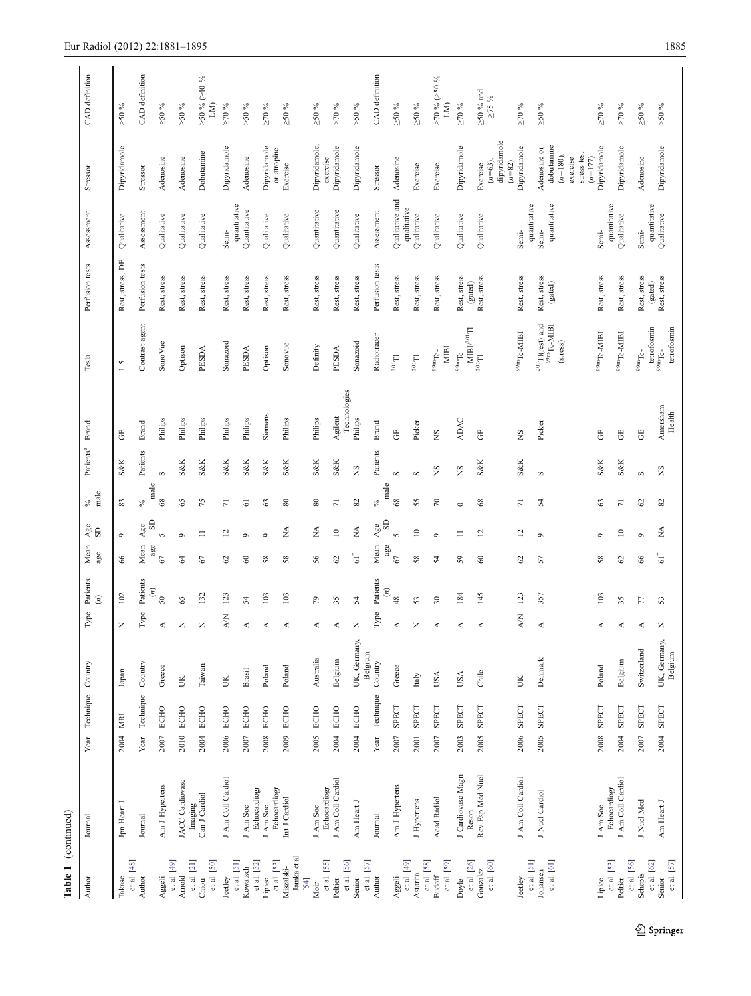| Table 1                                        | (continued)                       |        |           |                         |              |                                                                                    |                   |                    |                    |                       |                         |                                                                       |                                 |                                |                                                                      |                                                    |
|------------------------------------------------|-----------------------------------|--------|-----------|-------------------------|--------------|------------------------------------------------------------------------------------|-------------------|--------------------|--------------------|-----------------------|-------------------------|-----------------------------------------------------------------------|---------------------------------|--------------------------------|----------------------------------------------------------------------|----------------------------------------------------|
| Author                                         | Journal                           | Year   | Technique | Country                 | Type         | Patients<br>$\widehat{E}$                                                          | Mean<br>age       | $_{\rm Age}$<br>SD | male<br>℅          | Patients <sup>a</sup> | <b>Brand</b>            | Tesla                                                                 | Perfusion tests                 | Assessment                     | Stressor                                                             | CAD definition                                     |
| et al. [48]<br>Takase                          | Jpn Heart J                       | 2004   | MRI       | ${\it Japan}$           | $\mathbb{Z}$ | 102                                                                                | 66                | $\circ$            | 83                 | <b>S&amp;K</b>        | $\mathbb{B}$            | 1.5                                                                   | Rest, stress, DE                | Qualitative                    | Dipyridamole                                                         | $\approx 50$ %                                     |
| Author                                         | ${\tt Journal}$                   | Year   | Technique | Country                 | Type         | Patients<br>$\label{eq:3} \begin{array}{c} \widehat{x} \\ \widehat{y} \end{array}$ | Mean              | <b>GS</b><br>Age   | male<br>$\lesssim$ | Patients              | <b>Brand</b>            | Contrast agent                                                        | Perfusion tests                 | Assessment                     | Stressor                                                             | CAD definition                                     |
| et al. [49]<br>Aggeli                          | Am J Hypertens                    | 2007   | ECHO      | Greece                  | ⋖            | $50\,$                                                                             | age<br>2          | S                  | $8^{\circ}$        | S                     | Philips                 | SonoVue                                                               | Rest, stress                    | Qualitative                    | Adenosine                                                            | $\approx 0.95$                                     |
| Arnold                                         | JACC Cardiovasc                   | 2010   | ECHO      | UК                      | Z            | 65                                                                                 | 2                 | $\circ$            | 65                 | <b>S&amp;K</b>        | Philips                 | Optison                                                               | Rest, stress                    | Qualitative                    | Adenosine                                                            | $\approx 0.95$                                     |
| et al. $[21]$<br>et al. [50]<br>Chiou          | Can J Cardiol<br>Imaging          | 2004   | ECHO      | Taiwan                  | Z            | 132                                                                                | 67                | $\equiv$           | 75                 | <b>S&amp;K</b>        | Philips                 | <b>PESDA</b>                                                          | Rest, stress                    | Qualitative                    | Dobutamine                                                           | $\%$ 0<br>+2 $\%$ 0<br>50 $\%$<br>$\sum_{i=1}^{n}$ |
| Jeetley<br>et al. [51]                         | J Am Coll Cardiol                 | 2006   | ECHO      | UК                      | Ş            | 123                                                                                | $\mathcal{S}$     | $\overline{c}$     | $\overline{1}$     | S&K                   | Philips                 | Sonazoid                                                              | Rest, stress                    | quantitative<br>Semi-          | Dipyridamole                                                         | $\approx 0.05$                                     |
| Kowatsch                                       | Echocardiogr<br>J Am Soc          | $2007$ | ECHO      | Brasil                  | ≺            | 54                                                                                 | $^{\circ}$        | $\circ$            | $\overline{6}$     | <b>S&amp;K</b>        | Philips                 | PESDA                                                                 | Rest, stress                    | Quantitative                   | Adenosine                                                            | $\sim 50$ %                                        |
| et al. [53]<br>et al. [52]<br>Lipiec           | J Am Soc                          | 2008   | ECHO      | Poland                  | ∢            | 103                                                                                | 58                | $\circ$            | 63                 | <b>S&amp;K</b>        | Siemens                 | Optison                                                               | Rest, stress                    | Qualitative                    | Dipyridamole<br>or atropine                                          | $\lesssim 70$ %                                    |
| ${\rm Janka}$ et al.<br>Miszalski-             | Echocardiogr<br>Int J Cardiol     | 2009   | ECHO      | Poland                  | ⋖            | 103                                                                                | 58                | ≨                  | 80                 | <b>S&amp;K</b>        | Philips                 | Sonovue                                                               | Rest, stress                    | Qualitative                    | Exercise                                                             | ℅<br>50 <sub>5</sub>                               |
| $[54]$<br>Moir                                 | J Am Soc                          | 2005   | ECHO      | Australia               | ⋖            | 79                                                                                 | 56                | ₹                  | 80                 | <b>S&amp;K</b>        | Philips                 | Definity                                                              | Rest, stress                    | Quantitative                   | Dipyridamole,                                                        | $\approx 0.95$                                     |
| et al. [56]<br>et al. [55]<br>Peltier          | J Am Coll Cardiol<br>Echocardiogr | 2004   | ECHO      | Belgium                 | ≺            | 35                                                                                 | $\infty$          | $\overline{10}$    | $\overline{7}$     | <b>S&amp;K</b>        | Technologies<br>Agilent | PESDA                                                                 | Rest, stress                    | Quantitative                   | Dipyridamole<br>exercise                                             | $\approx 70$ %                                     |
| et al. [57]<br>Senior                          | Am Heart J                        | 2004   | ECHO      | UK, Germany,<br>Belgium | Z            | 54                                                                                 | $61$ <sup>+</sup> | Ž                  | 23                 | SN                    | Philips                 | Sonazoid                                                              | Rest, stress                    | Qualitative                    | Dipyridamole                                                         | $\sim 50$ %                                        |
| Author                                         | Journal                           | Year   | Technique | Country                 | Type         | Patients<br>$\widehat{\epsilon}$                                                   | Mean              | SD<br>Age          | male<br>$\%$       | Patients              | <b>Brand</b>            | Radiotracer                                                           | Perfusion tests                 | Assessment                     | Stressor                                                             | CAD definition                                     |
| et al. $[49]$<br>Aggeli                        | Am J Hypertens                    | 2007   | SPECT     | Greece                  | ≺            | 48                                                                                 | age<br>67         | $\sigma$           | 68                 | $\mathbf{v}$          | GE                      | $10_{10\text{C}}$                                                     | Rest, stress                    | Qualitative and<br>qualitative | Adenosine                                                            | $\approx 0.95$                                     |
| Astarita                                       | J Hypertens                       | 2001   | SPECT     | $_{\rm Italy}$          | Z            | 53                                                                                 | 58                | $\approx$          | 55                 | S                     | Picker                  | $^{201}$ Tl $\,$                                                      | Rest, stress                    | Qualitative                    | Exercise                                                             | $\%$ 0 $\!\leq\!\!2$                               |
| et al. [59]<br>et al. $\left[58\right]$ Budoff | Acad Radiol                       | 2007   | SPECT     | USA                     | ≺            | 30                                                                                 | 54                | $\circ$            | $\sqrt{2}$         | SN                    | SN                      | MIBI<br>$^{-3}$ Lu $_{\rm 66}$                                        | Rest, stress                    | Qualitative                    | Exercise                                                             | $\%$ 05<) % 07<<br>$\Box M)$                       |
| et al. [26]<br>Doyle                           | J Cardiovasc Magn<br>Reson        | 2003   | SPECT     | USA                     | ⋖            | 184                                                                                | 59                | $\equiv$           | $\circ$            | ŠN                    | <b>ADAC</b>             | $\rm MHz^{0.01}T1$<br>$\rm \sim 2000$                                 | Rest, stress<br>${\rm (gated)}$ | Qualitative                    | Dipyridamole                                                         | $\approx 0.65$                                     |
| et al. [60]<br>Gonzalez                        | Rev Esp Med Nucl                  | 2005   | SPECT     | Chile                   | ≺            | 145                                                                                | 8                 | $\overline{c}$     | 68                 | <b>S&amp;K</b>        | $\mathbb{B}$            | $110\,$                                                               | Rest, stress                    | Qualitative                    | dipyridamole<br>$(n=63),$<br>$(n=82)$<br>Exercise                    | ${\geq}50$ % and<br>$\geq$ 75 %                    |
| et al. [51]<br>Jeetley                         | J Am Coll Cardiol                 | 2006   | SPECT     | UK                      | Ş            | 123                                                                                | $\infty$          | $\overline{2}$     | $\overline{7}$     | <b>S&amp;K</b>        | SN                      | $^{99\mathrm{m}}$ Te-MIBI                                             | Rest, stress                    | quantitative<br>Semi-          | Dipyridamole                                                         | $\%$ 0.2 $\leq$                                    |
| et al. [61]<br>Johansen                        | J Nucl Cardiol                    | 2005   | SPECT     | Denmark                 | ≺            | 357                                                                                | 57                | $\circ$            | 24                 | S                     | Picker                  | $^{201}\! \mathrm{T}$ (rest) and<br>$\frac{90}{10}$ -MIBI<br>(stress) | Rest, stress<br>${\rm (gated)}$ | quantitative<br>Semi-          | dobutamine<br>Adenosine or<br>stress test<br>$(n=180)$ ,<br>exercise | $\%$ 0.5 $\leq$                                    |
| Lipiec                                         | Echocardiogr<br>J Am Soc          | 2008   | SPECT     | Poland                  | ⋖            | 103                                                                                | 58                | $\circ$            | 3                  | S&K                   | $\mathbb{B}$            | $^{99\mathrm{mTc\text{-}MIBI}}$                                       | Rest, stress                    | Semi-                          | Dipyridamole<br>$(n=177)$                                            | $\approx 70$ %                                     |
| et al. [53]<br>et al. [56]<br>Peltier          | J Am Coll Cardiol                 | 2004   | SPECT     | Belgium                 | ≺            | 35                                                                                 | $\mathcal{S}$     | $\overline{10}$    | $\overline{r}$     | <b>S&amp;K</b>        | $\mathbb{B}$            | $^{99\mathrm{mTc\text{-}MIBI}}$                                       | Rest, stress                    | quantitative<br>Qualitative    | Dipyridamole                                                         | $\sim 70$ %                                        |
| Schepis                                        | J Nucl Med                        | $2007$ | SPECT     | Switzerland             | ⋖            | 77                                                                                 | 66                | $\circ$            | $\mathcal{S}$      | $\Omega$              | GE                      | $\mathcal{D}_{\rm LHC}$                                               | Rest, stress                    | Semi-                          | Adenosine                                                            | $\%$ 0.5 $\leq$                                    |
| et al. $[57]$<br>et al. [62]<br>Senior         | Am Heart J                        | 2004   | SPECT     | UK, Gernany,<br>Belgium | z            | 53                                                                                 | $61^{\circ}$      | Ž                  | 82                 | SN                    | Amersham<br>Health      | tetrofosmin<br>tetrofosmin<br>$\sim 10066$                            | Rest, stress<br>(gated)         | quantitative<br>Qualitative    | Dipyridamole                                                         | $\%$ 05<                                           |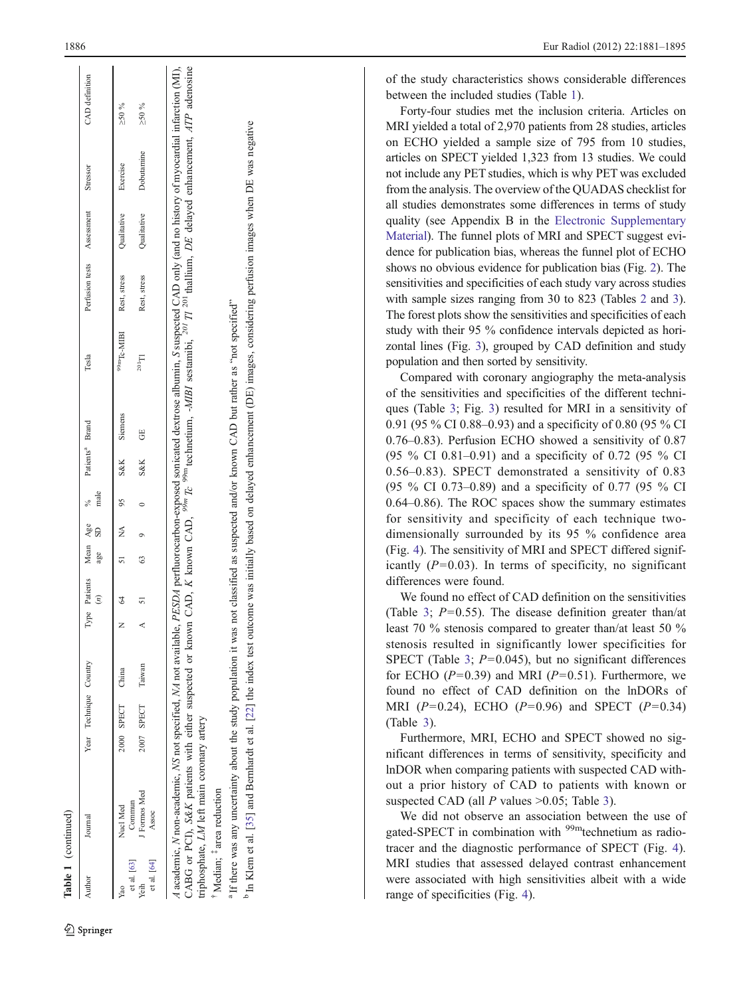| Table 1 (continued)                |                                                                                                                                                                                                                                                                                                                                                |                        |        |                                         |     |    |               |                             |         |            |                            |             |                                                                                                                              |                |
|------------------------------------|------------------------------------------------------------------------------------------------------------------------------------------------------------------------------------------------------------------------------------------------------------------------------------------------------------------------------------------------|------------------------|--------|-----------------------------------------|-----|----|---------------|-----------------------------|---------|------------|----------------------------|-------------|------------------------------------------------------------------------------------------------------------------------------|----------------|
| Author                             | Journal                                                                                                                                                                                                                                                                                                                                        | Year Technique Country |        | Type Patients Mean Age<br>$\widehat{z}$ | age | SD | male          | Patients <sup>a</sup> Brand |         | Tesla      | Perfusion tests Assessment |             | Stressor                                                                                                                     | CAD definition |
| Yao                                | Nucl Med                                                                                                                                                                                                                                                                                                                                       | 2000 SPECT China       |        | $\mathcal{L}$                           | 51  |    | $\frac{6}{5}$ | <b>S&amp;K</b>              | Siemens | 99mTc-MIBI | Rest, stress               | Qualitative | Exercise                                                                                                                     | $\approx 0.95$ |
| et al. [64]<br>et al. [63]<br>Yeih | J Formos Med<br>Commun<br>Assoc                                                                                                                                                                                                                                                                                                                | 2007 SPECT             | Taiwan |                                         | 63  |    |               | <b>S&amp;K</b>              | GE      | $201 - T$  | Rest, stress               | Qualitative | Dobutamine                                                                                                                   | $\geq 50$ %    |
|                                    | A academic, N non-academic, NS not specified, NA not available, PESDA perfluorocarbon-exposed sonicated dextrose albumin, S suspected CAD only (and no history of myocardial infarction (MI),<br>CABG or PCI), S&K patients with either suspected or known<br>riphosphate, LM left main coronary artery<br>Median; <sup>+</sup> area reduction |                        |        |                                         |     |    |               |                             |         |            |                            |             | CAD, K known CAD, $^{99m}$ rechnetium, -MIBI sestamibi, $^{201}$ II $^{201}$ thallium, DE delayed enhancement, AIP adenosine |                |
|                                    | If there was any uncertainty about the study population it was not classified as suspected and/or known CAD but rather as "not specified"                                                                                                                                                                                                      |                        |        |                                         |     |    |               |                             |         |            |                            |             |                                                                                                                              |                |

b In Klem et al. [\[35](#page-13-0)] and Bernhardt et al. [[22](#page-12-0)] the index test outcome was initially based on delayed enhancement (DE) images, considering perfusion images when DE was negative

<sup>b</sup> In Klem et al. [35] and Bernhardt et al. [22] the index test outcome was initially based on delayed enhancement (DE) images, considering perfusion images when DE was negative

of the study characteristics shows considerable differences between the included studies (Table [1\)](#page-3-0).

Forty-four studies met the inclusion criteria. Articles on MRI yielded a total of 2,970 patients from 28 studies, articles on ECHO yielded a sample size of 795 from 10 studies, articles on SPECT yielded 1,323 from 13 studies. We could not include any PET studies, which is why PET was excluded from the analysis. The overview of the QUADAS checklist for all studies demonstrates some differences in terms of study quality (see Appendix B in the Electronic Supplementary Material). The funnel plots of MRI and SPECT suggest evidence for publication bias, whereas the funnel plot of ECHO shows no obvious evidence for publication bias (Fig. [2\)](#page-6-0). The sensitivities and specificities of each study vary across studies with sample sizes ranging from 30 to 823 (Tables [2](#page-7-0) and [3\)](#page-8-0). The forest plots show the sensitivities and specificities of each study with their 95 % confidence intervals depicted as horizontal lines (Fig. [3\)](#page-10-0), grouped by CAD definition and study population and then sorted by sensitivity.

Compared with coronary angiography the meta-analysis of the sensitivities and specificities of the different techniques (Table [3;](#page-8-0) Fig. [3\)](#page-10-0) resulted for MRI in a sensitivity of 0.91 (95 % CI 0.88 –0.93) and a specificity of 0.80 (95 % CI 0.76 –0.83). Perfusion ECHO showed a sensitivity of 0.87 (95 % CI 0.81 –0.91) and a specificity of 0.72 (95 % CI 0.56 –0.83). SPECT demonstrated a sensitivity of 0.83 (95 % CI 0.73 –0.89) and a specificity of 0.77 (95 % CI 0.64 –0.86). The ROC spaces show the summary estimates for sensitivity and specificity of each technique twodimensionally surrounded by its 95 % confidence area (Fig. [4\)](#page-10-0). The sensitivity of MRI and SPECT differed significantly  $(P=0.03)$ . In terms of specificity, no significant differences were found.

We found no effect of CAD definition on the sensitivities (Table [3](#page-8-0);  $P=0.55$ ). The disease definition greater than/at least 70 % stenosis compared to greater than/at least 50 % stenosis resulted in significantly lower specificities for SPECT (Table [3](#page-8-0);  $P=0.045$ ), but no significant differences for ECHO ( $P=0.39$ ) and MRI ( $P=0.51$ ). Furthermore, we found no effect of CAD definition on the lnDORs of MRI ( $P=0.24$ ), ECHO ( $P=0.96$ ) and SPECT ( $P=0.34$ ) (Table [3\)](#page-8-0).

Furthermore, MRI, ECHO and SPECT showed no significant differences in terms of sensitivity, specificity and lnDOR when comparing patients with suspected CAD without a prior history of CAD to patients with known or suspected CAD (all  $P$  values  $>0.05$ ; Table [3](#page-8-0)).

We did not observe an association between the use of gated-SPECT in combination with <sup>99m</sup>technetium as radiotracer and the diagnostic performance of SPECT (Fig. [4\)](#page-10-0). MRI studies that assessed delayed contrast enhancement were associated with high sensitivities albeit with a wide range of specificities (Fig. [4](#page-10-0)).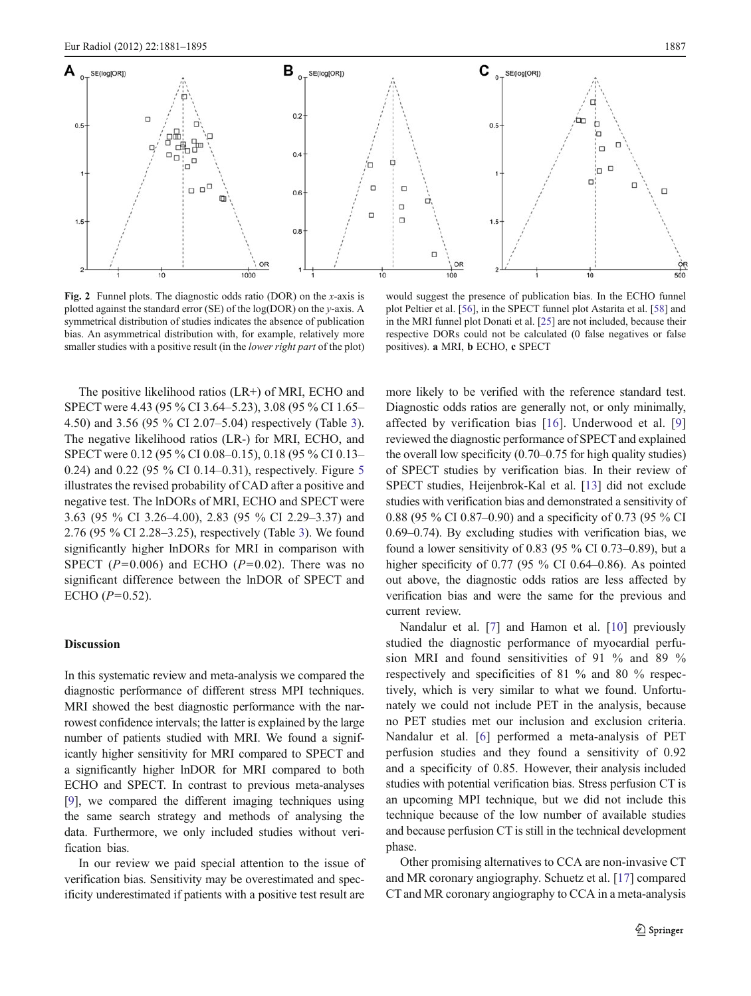<span id="page-6-0"></span>

Fig. 2 Funnel plots. The diagnostic odds ratio (DOR) on the x-axis is plotted against the standard error (SE) of the log(DOR) on the y-axis. A symmetrical distribution of studies indicates the absence of publication bias. An asymmetrical distribution with, for example, relatively more smaller studies with a positive result (in the *lower right part* of the plot)

The positive likelihood ratios (LR+) of MRI, ECHO and SPECT were 4.43 (95 % CI 3.64–5.23), 3.08 (95 % CI 1.65– 4.50) and 3.56 (95 % CI 2.07–5.04) respectively (Table [3](#page-8-0)). The negative likelihood ratios (LR-) for MRI, ECHO, and SPECT were 0.12 (95 % CI 0.08–0.15), 0.18 (95 % CI 0.13– 0.24) and 0.22 (95 % CI 0.14–0.31), respectively. Figure [5](#page-11-0) illustrates the revised probability of CAD after a positive and negative test. The lnDORs of MRI, ECHO and SPECT were 3.63 (95 % CI 3.26–4.00), 2.83 (95 % CI 2.29–3.37) and 2.76 (95 % CI 2.28–3.25), respectively (Table [3\)](#page-8-0). We found significantly higher lnDORs for MRI in comparison with SPECT ( $P=0.006$ ) and ECHO ( $P=0.02$ ). There was no significant difference between the lnDOR of SPECT and ECHO  $(P=0.52)$ .

# **Discussion**

In this systematic review and meta-analysis we compared the diagnostic performance of different stress MPI techniques. MRI showed the best diagnostic performance with the narrowest confidence intervals; the latter is explained by the large number of patients studied with MRI. We found a significantly higher sensitivity for MRI compared to SPECT and a significantly higher lnDOR for MRI compared to both ECHO and SPECT. In contrast to previous meta-analyses [\[9](#page-12-0)], we compared the different imaging techniques using the same search strategy and methods of analysing the data. Furthermore, we only included studies without verification bias.

In our review we paid special attention to the issue of verification bias. Sensitivity may be overestimated and specificity underestimated if patients with a positive test result are

would suggest the presence of publication bias. In the ECHO funnel plot Peltier et al. [\[56\]](#page-13-0), in the SPECT funnel plot Astarita et al. [[58](#page-13-0)] and in the MRI funnel plot Donati et al. [\[25\]](#page-12-0) are not included, because their respective DORs could not be calculated (0 false negatives or false positives). a MRI, b ECHO, c SPECT

more likely to be verified with the reference standard test. Diagnostic odds ratios are generally not, or only minimally, affected by verification bias [\[16\]](#page-12-0). Underwood et al. [[9](#page-12-0)] reviewed the diagnostic performance of SPECT and explained the overall low specificity (0.70–0.75 for high quality studies) of SPECT studies by verification bias. In their review of SPECT studies, Heijenbrok-Kal et al. [\[13\]](#page-12-0) did not exclude studies with verification bias and demonstrated a sensitivity of 0.88 (95 % CI 0.87–0.90) and a specificity of 0.73 (95 % CI 0.69–0.74). By excluding studies with verification bias, we found a lower sensitivity of 0.83 (95 % CI 0.73–0.89), but a higher specificity of 0.77 (95 % CI 0.64–0.86). As pointed out above, the diagnostic odds ratios are less affected by verification bias and were the same for the previous and current review.

Nandalur et al. [[7\]](#page-12-0) and Hamon et al. [\[10](#page-12-0)] previously studied the diagnostic performance of myocardial perfusion MRI and found sensitivities of 91 % and 89 % respectively and specificities of 81 % and 80 % respectively, which is very similar to what we found. Unfortunately we could not include PET in the analysis, because no PET studies met our inclusion and exclusion criteria. Nandalur et al. [[6\]](#page-12-0) performed a meta-analysis of PET perfusion studies and they found a sensitivity of 0.92 and a specificity of 0.85. However, their analysis included studies with potential verification bias. Stress perfusion CT is an upcoming MPI technique, but we did not include this technique because of the low number of available studies and because perfusion CT is still in the technical development phase.

Other promising alternatives to CCA are non-invasive CT and MR coronary angiography. Schuetz et al. [[17\]](#page-12-0) compared CT and MR coronary angiography to CCA in a meta-analysis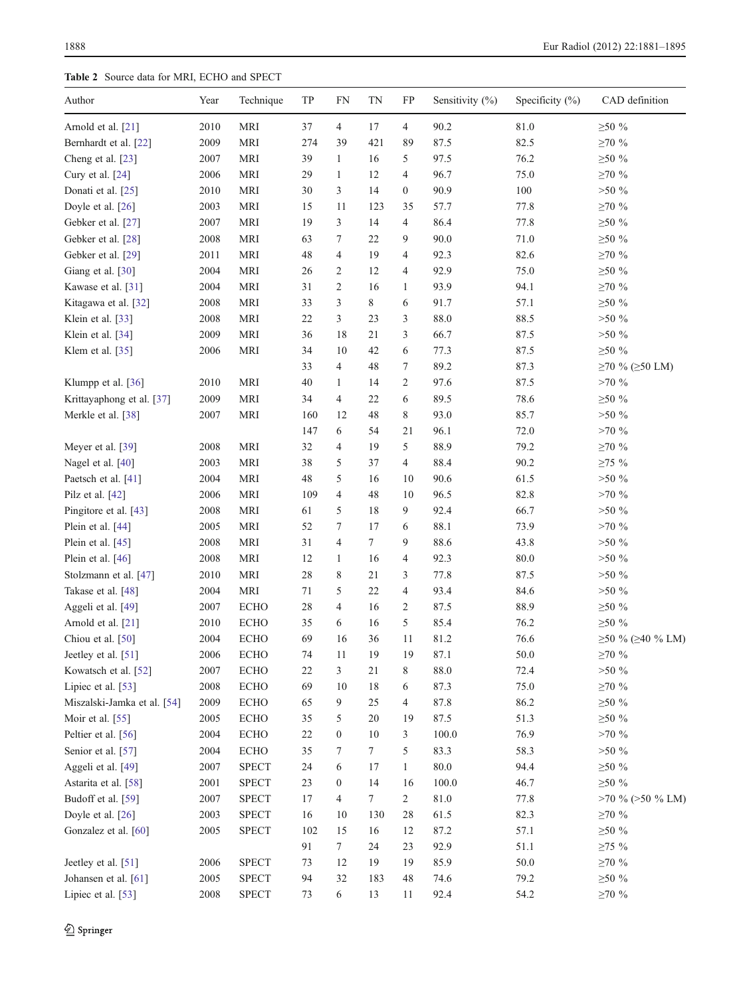<span id="page-7-0"></span>Table 2 Source data for MRI, ECHO and SPECT

| Author                      | Year | Technique            | TP  | FN               | TN              | FP               | Sensitivity (%) | Specificity $(\%)$ | CAD definition                |
|-----------------------------|------|----------------------|-----|------------------|-----------------|------------------|-----------------|--------------------|-------------------------------|
| Arnold et al. [21]          | 2010 | <b>MRI</b>           | 37  | $\overline{4}$   | 17              | $\overline{4}$   | 90.2            | 81.0               | $\geq 50 \%$                  |
| Bernhardt et al. [22]       | 2009 | <b>MRI</b>           | 274 | 39               | 421             | 89               | 87.5            | 82.5               | ${\geq}70$ %                  |
| Cheng et al. [23]           | 2007 | <b>MRI</b>           | 39  | $\mathbf{1}$     | 16              | 5                | 97.5            | 76.2               | ${\geq}50$ $\%$               |
| Cury et al. [24]            | 2006 | <b>MRI</b>           | 29  | $\mathbf{1}$     | 12              | 4                | 96.7            | 75.0               | ${\geq}70$ %                  |
| Donati et al. [25]          | 2010 | <b>MRI</b>           | 30  | 3                | 14              | $\boldsymbol{0}$ | 90.9            | 100                | $>50 \%$                      |
| Doyle et al. [26]           | 2003 | <b>MRI</b>           | 15  | 11               | 123             | 35               | 57.7            | 77.8               | ${\geq}70$ %                  |
| Gebker et al. [27]          | 2007 | MRI                  | 19  | 3                | 14              | 4                | 86.4            | 77.8               | $\geq 50 \%$                  |
| Gebker et al. [28]          | 2008 | <b>MRI</b>           | 63  | 7                | 22              | 9                | 90.0            | 71.0               | $\geq 50 \%$                  |
| Gebker et al. [29]          | 2011 | <b>MRI</b>           | 48  | 4                | 19              | 4                | 92.3            | 82.6               | $\geq 70$ %                   |
| Giang et al. [30]           | 2004 | <b>MRI</b>           | 26  | 2                | 12              | 4                | 92.9            | 75.0               | ${\geq}50$ $\%$               |
| Kawase et al. [31]          | 2004 | <b>MRI</b>           | 31  | $\mathfrak{2}$   | 16              | $\mathbf{1}$     | 93.9            | 94.1               | $\geq 70$ %                   |
| Kitagawa et al. [32]        | 2008 | <b>MRI</b>           | 33  | 3                | 8               | 6                | 91.7            | 57.1               | ${\geq}50$ $\%$               |
| Klein et al. [33]           | 2008 | $\operatorname{MRI}$ | 22  | 3                | 23              | 3                | 88.0            | 88.5               | $>50 \%$                      |
| Klein et al. [34]           | 2009 | MRI                  | 36  | 18               | 21              | 3                | 66.7            | 87.5               | $>50 \%$                      |
| Klem et al. [35]            | 2006 | <b>MRI</b>           | 34  | 10               | 42              | 6                | 77.3            | 87.5               | $\geq 50 \%$                  |
|                             |      |                      | 33  | 4                | 48              | 7                | 89.2            | 87.3               | $≥70 \% (≥50 LM)$             |
| Klumpp et al. [36]          | 2010 | <b>MRI</b>           | 40  | $\mathbf{1}$     | 14              | 2                | 97.6            | 87.5               | $>70\%$                       |
| Krittayaphong et al. [37]   | 2009 | <b>MRI</b>           | 34  | 4                | 22              | 6                | 89.5            | 78.6               | $\geq 50 \%$                  |
| Merkle et al. [38]          | 2007 | <b>MRI</b>           | 160 | 12               | 48              | 8                | 93.0            | 85.7               | $>50 \%$                      |
|                             |      |                      | 147 | 6                | 54              | 21               | 96.1            | 72.0               | $>70\,$ %                     |
| Meyer et al. [39]           | 2008 | <b>MRI</b>           | 32  | $\overline{4}$   | 19              | 5                | 88.9            | 79.2               | ${\geq}70$ %                  |
| Nagel et al. [40]           | 2003 | <b>MRI</b>           | 38  | 5                | 37              | 4                | 88.4            | 90.2               | ${\geq}75$ %                  |
| Paetsch et al. [41]         | 2004 | MRI                  | 48  | 5                | 16              | 10               | 90.6            | 61.5               | $>50 \%$                      |
| Pilz et al. [42]            | 2006 | MRI                  | 109 | $\overline{4}$   | 48              | 10               | 96.5            | 82.8               | $>70\%$                       |
| Pingitore et al. [43]       | 2008 | <b>MRI</b>           | 61  | 5                | 18              | 9                | 92.4            | 66.7               | $>50 \%$                      |
| Plein et al. [44]           | 2005 | <b>MRI</b>           | 52  | 7                | 17              | 6                | 88.1            | 73.9               | $>70\%$                       |
| Plein et al. [45]           | 2008 | <b>MRI</b>           | 31  | $\overline{4}$   | $7^{\circ}$     | 9                | 88.6            | 43.8               | $>50\%$                       |
| Plein et al. [46]           | 2008 | <b>MRI</b>           | 12  | $\mathbf{1}$     | 16              | 4                | 92.3            | 80.0               | $>50 \%$                      |
| Stolzmann et al. [47]       | 2010 | <b>MRI</b>           | 28  | 8                | 21              | 3                | 77.8            | 87.5               | $>50 \%$                      |
| Takase et al. [48]          | 2004 | MRI                  | 71  | 5                | 22              | $\overline{4}$   | 93.4            | 84.6               | $>50 \%$                      |
| Aggeli et al. [49]          | 2007 | <b>ECHO</b>          | 28  | 4                | 16              | 2                | 87.5            | 88.9               | ${\geq}50$ $\%$               |
| Arnold et al. [21]          | 2010 | <b>ECHO</b>          | 35  | 6                | 16              | 5                | 85.4            | 76.2               | $\geq 50 \%$                  |
| Chiou et al. [50]           | 2004 | <b>ECHO</b>          | 69  | 16               | 36              | 11               | 81.2            | 76.6               | $\geq 50$ % ( $\geq 40$ % LM) |
| Jeetley et al. [51]         | 2006 | $\rm ECHO$           | 74  | 11               | 19              | 19               | 87.1            | $50.0\,$           | ${\geq}70$ %                  |
| Kowatsch et al. [52]        | 2007 | $\rm ECHO$           | 22  | 3                | 21              | 8                | 88.0            | 72.4               | ${>}50$ $\%$                  |
| Lipiec et al. [53]          | 2008 | <b>ECHO</b>          | 69  | 10               | 18              | 6                | 87.3            | 75.0               | ${\geq}70$ %                  |
| Miszalski-Jamka et al. [54] | 2009 | $\rm ECHO$           | 65  | 9                | 25              | $\overline{4}$   | 87.8            | 86.2               | ${\geq}50$ $\%$               |
| Moir et al. [55]            | 2005 | $\rm ECHO$           | 35  | 5                | $20\,$          | 19               | 87.5            | 51.3               | ${\geq}50$ $\%$               |
| Peltier et al. [56]         | 2004 | $\rm ECHO$           | 22  | $\boldsymbol{0}$ | $10\,$          | $\mathfrak{Z}$   | $100.0\,$       | 76.9               | ${>}70$ $\%$                  |
| Senior et al. [57]          | 2004 | <b>ECHO</b>          | 35  | 7                | 7               | 5                | 83.3            | 58.3               | $>50\,$ %                     |
| Aggeli et al. [49]          | 2007 | <b>SPECT</b>         | 24  | 6                | 17              | $\mathbf{1}$     | 80.0            | 94.4               | ${\geq}50$ $\%$               |
| Astarita et al. [58]        | 2001 | <b>SPECT</b>         | 23  | $\boldsymbol{0}$ | 14              | 16               | $100.0\,$       | 46.7               | ${\geq}50$ $\%$               |
| Budoff et al. [59]          | 2007 | <b>SPECT</b>         | 17  | $\overline{4}$   | $7\phantom{.0}$ | $\overline{c}$   | $81.0\,$        | 77.8               | $>70$ % ( $>50$ % LM)         |
| Doyle et al. [26]           | 2003 | <b>SPECT</b>         | 16  | 10               | 130             | 28               | 61.5            | 82.3               | ${\geq}70$ %                  |
| Gonzalez et al. [60]        | 2005 | <b>SPECT</b>         | 102 | 15               | 16              | 12               | 87.2            | 57.1               | ${\geq}50$ $\%$               |
|                             |      |                      | 91  | 7                | 24              | 23               | 92.9            | 51.1               | $\geq 75 \%$                  |
| Jeetley et al. [51]         | 2006 | <b>SPECT</b>         | 73  | 12               | 19              | 19               | 85.9            | 50.0               | ${\geq}70$ %                  |
| Johansen et al. [61]        | 2005 | <b>SPECT</b>         | 94  | 32               | 183             | 48               | 74.6            | 79.2               | ${\geq}50$ %                  |
| Lipiec et al. [53]          | 2008 | <b>SPECT</b>         | 73  | 6                | 13              | 11               | 92.4            | 54.2               | ${\geq}70$ %                  |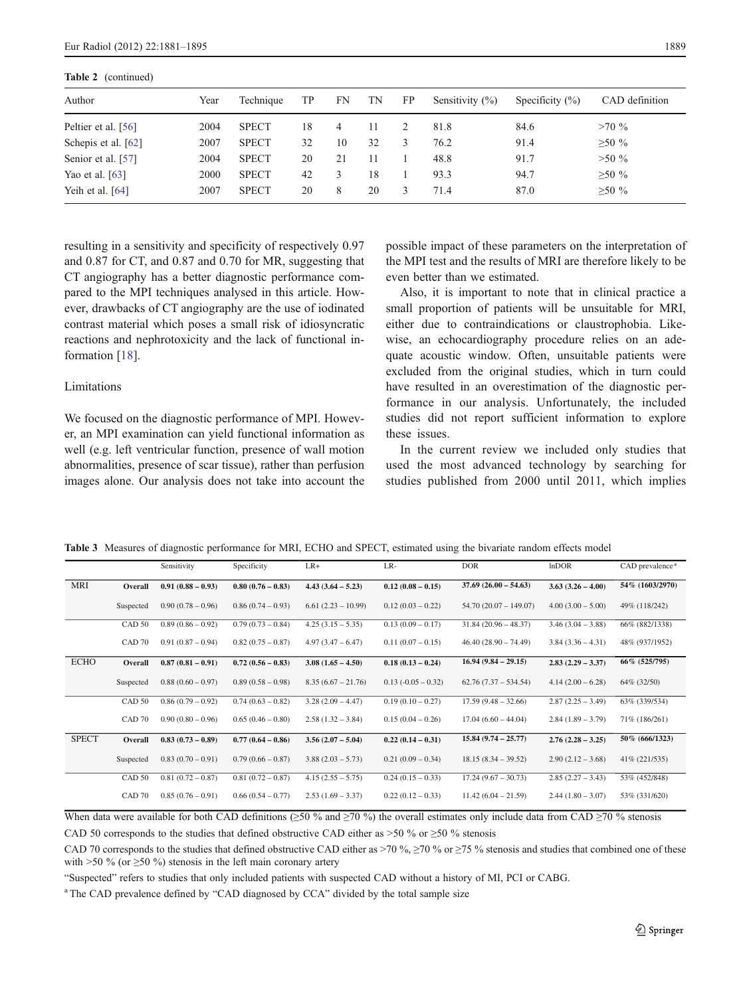<span id="page-8-0"></span>Table 2 (continued)

| Author              | Year | Technique    | TP | FN | TN | FP | Sensitivity $(\%)$ | Specificity $(\% )$ | CAD definition |
|---------------------|------|--------------|----|----|----|----|--------------------|---------------------|----------------|
| Peltier et al. [56] | 2004 | <b>SPECT</b> | 18 | 4  |    |    | 81.8               | 84.6                | $>70\%$        |
| Schepis et al. [62] | 2007 | <b>SPECT</b> | 32 | 10 | 32 |    | 76.2               | 91.4                | $\geq 50 \%$   |
| Senior et al. [57]  | 2004 | <b>SPECT</b> | 20 | 21 |    |    | 48.8               | 91.7                | $>50\%$        |
| Yao et al. $[63]$   | 2000 | <b>SPECT</b> | 42 |    | 18 |    | 93.3               | 94.7                | $\geq 50 \%$   |
| Yeih et al. $[64]$  | 2007 | <b>SPECT</b> | 20 | 8  | 20 |    | 71.4               | 87.0                | $\geq 50 \%$   |

resulting in a sensitivity and specificity of respectively 0.97 and 0.87 for CT, and 0.87 and 0.70 for MR, suggesting that CT angiography has a better diagnostic performance compared to the MPI techniques analysed in this article. However, drawbacks of CT angiography are the use of iodinated contrast material which poses a small risk of idiosyncratic reactions and nephrotoxicity and the lack of functional information [[18\]](#page-12-0).

# Limitations

We focused on the diagnostic performance of MPI. However, an MPI examination can yield functional information as well (e.g. left ventricular function, presence of wall motion abnormalities, presence of scar tissue), rather than perfusion images alone. Our analysis does not take into account the possible impact of these parameters on the interpretation of the MPI test and the results of MRI are therefore likely to be even better than we estimated.

Also, it is important to note that in clinical practice a small proportion of patients will be unsuitable for MRI, either due to contraindications or claustrophobia. Likewise, an echocardiography procedure relies on an adequate acoustic window. Often, unsuitable patients were excluded from the original studies, which in turn could have resulted in an overestimation of the diagnostic performance in our analysis. Unfortunately, the included studies did not report sufficient information to explore these issues.

In the current review we included only studies that used the most advanced technology by searching for studies published from 2000 until 2011, which implies

|  | Table 3 Measures of diagnostic performance for MRI, ECHO and SPECT, estimated using the bivariate random effects model |  |  |  |  |  |
|--|------------------------------------------------------------------------------------------------------------------------|--|--|--|--|--|
|--|------------------------------------------------------------------------------------------------------------------------|--|--|--|--|--|

|              |                   | Sensitivity         | Specificity         | $LR+$                | LR-                 | <b>DOR</b>              | $ln$ DOR            | CAD prevalence*  |
|--------------|-------------------|---------------------|---------------------|----------------------|---------------------|-------------------------|---------------------|------------------|
| <b>MRI</b>   | Overall           | $0.91(0.88-0.93)$   | $0.80(0.76 - 0.83)$ | $4.43(3.64 - 5.23)$  | $0.12(0.08 - 0.15)$ | $37.69(26.00 - 54.63)$  | $3.63(3.26 - 4.00)$ | 54\% (1603/2970) |
|              | Suspected         | $0.90(0.78-0.96)$   | $0.86(0.74-0.93)$   | $6.61(2.23 - 10.99)$ | $0.12(0.03 - 0.22)$ | $54.70(20.07 - 149.07)$ | $4.00(3.00 - 5.00)$ | 49% (118/242)    |
|              | CAD <sub>50</sub> | $0.89(0.86-0.92)$   | $0.79(0.73-0.84)$   | $4.25(3.15-5.35)$    | $0.13(0.09 - 0.17)$ | $31.84(20.96 - 48.37)$  | $3.46(3.04 - 3.88)$ | 66% (882/1338)   |
|              | CAD 70            | $0.91(0.87-0.94)$   | $0.82(0.75-0.87)$   | $4.97(3.47-6.47)$    | $0.11(0.07 - 0.15)$ | $46.40(28.90 - 74.49)$  | $3.84(3.36 - 4.31)$ | 48% (937/1952)   |
| <b>ECHO</b>  | Overall           | $0.87(0.81 - 0.91)$ | $0.72(0.56 - 0.83)$ | $3.08(1.65 - 4.50)$  | $0.18(0.13 - 0.24)$ | $16.94(9.84-29.15)$     | $2.83(2.29 - 3.37)$ | 66% (525/795)    |
|              | Suspected         | $0.88(0.60 - 0.97)$ | $0.89(0.58 - 0.98)$ | $8.35(6.67 - 21.76)$ | $0.13(-0.05-0.32)$  | $62.76(7.37 - 534.54)$  | $4.14(2.00 - 6.28)$ | 64% (32/50)      |
|              | CAD 50            | $0.86(0.79-0.92)$   | $0.74(0.63 - 0.82)$ | $3.28(2.09 - 4.47)$  | $0.19(0.10 - 0.27)$ | $17.59(9.48 - 32.66)$   | $2.87(2.25 - 3.49)$ | 63% (339/534)    |
|              | CAD 70            | $0.90(0.80 - 0.96)$ | $0.65(0.46 - 0.80)$ | $2.58(1.32 - 3.84)$  | $0.15(0.04 - 0.26)$ | $17.04(6.60 - 44.04)$   | $2.84(1.89 - 3.79)$ | 71\% (186/261)   |
| <b>SPECT</b> | Overall           | $0.83(0.73-0.89)$   | $0.77(0.64 - 0.86)$ | $3.56(2.07 - 5.04)$  | $0.22(0.14-0.31)$   | $15.84(9.74-25.77)$     | $2.76(2.28 - 3.25)$ | 50% (666/1323)   |
|              | Suspected         | $0.83(0.70-0.91)$   | $0.79(0.66 - 0.87)$ | $3.88(2.03 - 5.73)$  | $0.21(0.09 - 0.34)$ | $18.15(8.34 - 39.52)$   | $2.90(2.12 - 3.68)$ | 41% (221/535)    |
|              | CAD <sub>50</sub> | $0.81(0.72-0.87)$   | $0.81(0.72-0.87)$   | $4.15(2.55 - 5.75)$  | $0.24(0.15-0.33)$   | $17.24(9.67 - 30.73)$   | $2.85(2.27 - 3.43)$ | 53% (452/848)    |
|              | CAD 70            | $0.85(0.76-0.91)$   | $0.66(0.54 - 0.77)$ | $2.53(1.69 - 3.37)$  | $0.22(0.12-0.33)$   | $11.42(6.04 - 21.59)$   | $2.44(1.80 - 3.07)$ | 53% (331/620)    |

When data were available for both CAD definitions ( $\geq$ 50 % and  $\geq$ 70 %) the overall estimates only include data from CAD  $\geq$ 70 % stenosis CAD 50 corresponds to the studies that defined obstructive CAD either as  $>50\%$  or  $\geq 50\%$  stenosis

CAD 70 corresponds to the studies that defined obstructive CAD either as >70 %,  $\geq$ 70 % or  $\geq$ 75 % stenosis and studies that combined one of these with  $>50\%$  (or  $\geq50\%$ ) stenosis in the left main coronary artery

"Suspected" refers to studies that only included patients with suspected CAD without a history of MI, PCI or CABG.

<sup>a</sup> The CAD prevalence defined by "CAD diagnosed by CCA" divided by the total sample size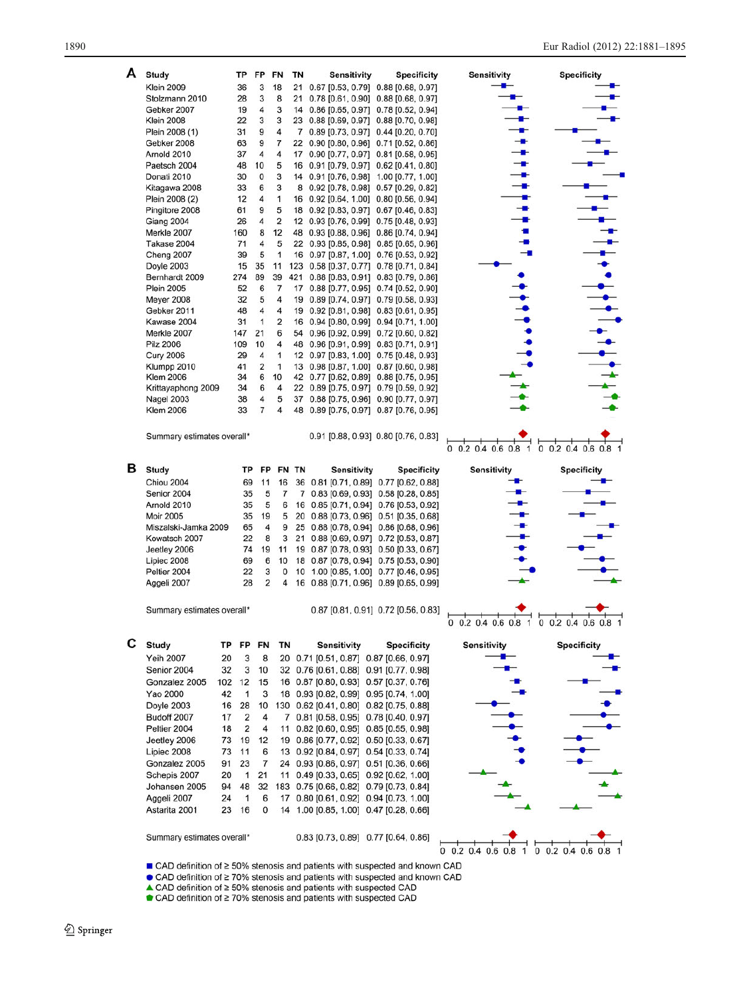|   | A Study                         |     | ТP             | FP                      | FN             |       |                    |                                                                                                                     |                                   |                     |
|---|---------------------------------|-----|----------------|-------------------------|----------------|-------|--------------------|---------------------------------------------------------------------------------------------------------------------|-----------------------------------|---------------------|
|   | <b>Klein 2009</b>               |     | 36             | 3                       | 18             | TN    | <b>Sensitivity</b> | <b>Specificity</b><br>21 0.67 [0.53, 0.79] 0.88 [0.68, 0.97]                                                        | <b>Sensitivity</b>                | <b>Specificity</b>  |
|   | Stolzmann 2010                  |     | 28             | 3                       | 8              | 21    |                    | 0.78 [0.61, 0.90] 0.88 [0.68, 0.97]                                                                                 |                                   |                     |
|   | Gebker 2007                     |     | 19             | 4                       | 3              |       |                    | 14 0.86 [0.65, 0.97] 0.78 [0.52, 0.94]                                                                              |                                   |                     |
|   | Klein 2008                      |     | 22             | 3                       | 3              |       |                    | 23 0.88 [0.69, 0.97] 0.88 [0.70, 0.98]                                                                              |                                   |                     |
|   | Plein 2008 (1)                  |     | 31             | 9                       | 4              |       |                    | 7 0.89 [0.73, 0.97] 0.44 [0.20, 0.70]                                                                               |                                   |                     |
|   | Gebker 2008                     |     | 63             | 9                       | 7              |       |                    | 22 0.90 [0.80, 0.96] 0.71 [0.52, 0.86]                                                                              |                                   |                     |
|   | Arnold 2010                     |     | 37             | $\overline{4}$          | 4              |       |                    | 17 0.90 [0.77, 0.97] 0.81 [0.58, 0.95]                                                                              |                                   |                     |
|   | Paetsch 2004                    |     | 48             | 10                      | 5              |       |                    | 16 0.91 [0.79, 0.97] 0.62 [0.41, 0.80]                                                                              |                                   |                     |
|   | Donati 2010                     |     | 30             | 0                       | 3              |       |                    | 14 0.91 [0.76, 0.98] 1.00 [0.77, 1.00]                                                                              |                                   |                     |
|   | Kitagawa 2008<br>Plein 2008 (2) |     | 33<br>12       | 6<br>4                  | 3<br>1         |       |                    | 8 0.92 [0.78, 0.98] 0.57 [0.29, 0.82]                                                                               |                                   |                     |
|   | Pingitore 2008                  |     | 61             | 9                       | 5              |       |                    | 16 0.92 [0.64, 1.00] 0.80 [0.56, 0.94]<br>18 0.92 [0.83, 0.97] 0.67 [0.46, 0.83]                                    |                                   |                     |
|   | Giang 2004                      |     | 26             | 4                       | 2              |       |                    | 12 0.93 [0.76, 0.99] 0.75 [0.48, 0.93]                                                                              |                                   |                     |
|   | Merkle 2007                     |     | 160            | 8                       | 12             |       |                    | 48 0.93 [0.88, 0.96] 0.86 [0.74, 0.94]                                                                              |                                   |                     |
|   | Takase 2004                     |     | 71             | 4                       | 5              |       |                    | 22 0.93 [0.85, 0.98] 0.85 [0.65, 0.96]                                                                              |                                   |                     |
|   | Cheng 2007                      |     | 39             | 5                       | 1              |       |                    | 16 0.97 [0.87, 1.00] 0.76 [0.53, 0.92]                                                                              |                                   |                     |
|   | <b>Doyle 2003</b>               |     | 15             | 35                      | 11             |       |                    | 123 0.58 [0.37, 0.77] 0.78 [0.71, 0.84]                                                                             |                                   |                     |
|   | Bernhardt 2009                  |     | 274            | 89                      | 39             |       |                    | 421 0.88 [0.83, 0.91] 0.83 [0.79, 0.86]                                                                             |                                   |                     |
|   | <b>Plein 2005</b>               |     | 52             | 6                       | $\overline{7}$ |       |                    | 17 0.88 [0.77, 0.95] 0.74 [0.52, 0.90]                                                                              |                                   |                     |
|   | <b>Meyer 2008</b>               |     | 32             | 5                       | 4              |       |                    | 19 0.89 [0.74, 0.97] 0.79 [0.58, 0.93]                                                                              |                                   |                     |
|   | Gebker 2011<br>Kawase 2004      |     | 48<br>31       | $\overline{4}$<br>1     | 4<br>2         |       |                    | 19 0.92 [0.81, 0.98] 0.83 [0.61, 0.95]<br>16 0.94 [0.80, 0.99] 0.94 [0.71, 1.00]                                    |                                   |                     |
|   | Merkle 2007                     |     | 147            | 21                      | 6              |       |                    | 54 0.96 [0.92, 0.99] 0.72 [0.60, 0.82]                                                                              |                                   |                     |
|   | <b>Pilz 2006</b>                |     | 109            | 10                      | 4              |       |                    | 48 0.96 [0.91, 0.99] 0.83 [0.71, 0.91]                                                                              |                                   |                     |
|   | <b>Cury 2006</b>                |     | 29             | $\overline{4}$          | 1              |       |                    | 12 0.97 [0.83, 1.00] 0.75 [0.48, 0.93]                                                                              |                                   |                     |
|   | Klumpp 2010                     |     | 41             | $\overline{\mathbf{c}}$ | $\mathbf{1}$   |       |                    | 13 0.98 [0.87, 1.00] 0.87 [0.60, 0.98]                                                                              |                                   |                     |
|   | <b>Klem 2006</b>                |     | 34             | 6                       | 10             |       |                    | 42 0.77 [0.62, 0.89] 0.88 [0.75, 0.95]                                                                              |                                   |                     |
|   | Krittayaphong 2009              |     | 34             | 6                       | 4              |       |                    | 22 0.89 [0.75, 0.97] 0.79 [0.59, 0.92]                                                                              |                                   |                     |
|   | Nagel 2003                      |     | 38             | 4                       | 5              |       |                    | 37 0.88 [0.75, 0.96] 0.90 [0.77, 0.97]                                                                              |                                   |                     |
|   | <b>Klem 2006</b>                |     | 33             | $\overline{7}$          | 4              |       |                    | 48 0.89 [0.75, 0.97] 0.87 [0.76, 0.95]                                                                              |                                   |                     |
|   | Summary estimates overall*      |     |                |                         |                |       |                    | 0.91 [0.88, 0.93] 0.80 [0.76, 0.83]                                                                                 | $0.2$ 0.4 0.6 0.8 1<br>$^{\circ}$ | $0$ 0.2 0.4 0.6 0.8 |
| в | <b>Study</b>                    |     | TP             | FP                      |                | FN TN | <b>Sensitivity</b> | <b>Specificity</b>                                                                                                  | <b>Sensitivity</b>                | <b>Specificity</b>  |
|   | Chiou 2004                      |     | 69             | 11                      | 16             |       |                    | 36 0.81 [0.71, 0.89] 0.77 [0.62, 0.88]                                                                              |                                   |                     |
|   | Senior 2004                     |     | 35             | 5                       | 7              |       |                    | 7 0.83 [0.69, 0.93] 0.58 [0.28, 0.85]                                                                               |                                   |                     |
|   | Arnold 2010                     |     | 35             | 5                       | 6              |       |                    | 16 0.85 [0.71, 0.94] 0.76 [0.53, 0.92]                                                                              |                                   |                     |
|   | <b>Moir 2005</b>                |     | 35             | 19                      | 5              |       |                    | 20 0.88 [0.73, 0.96] 0.51 [0.35, 0.68]                                                                              |                                   |                     |
|   | Miszalski-Jamka 2009            |     | 65             | $\overline{\mathbf{4}}$ | 9              |       |                    | 25 0.88 [0.78, 0.94] 0.86 [0.68, 0.96]                                                                              |                                   |                     |
|   | Kowatsch 2007                   |     | 22<br>74       | 8                       | 3              |       |                    | 21 0.88 [0.69, 0.97] 0.72 [0.53, 0.87]                                                                              |                                   |                     |
|   | Jeetley 2006<br>Lipiec 2008     |     | 69             | 19<br>6                 | 11<br>10       |       |                    | 19 0.87 [0.78, 0.93] 0.50 [0.33, 0.67]<br>18 0.87 [0.78, 0.94] 0.75 [0.53, 0.90]                                    |                                   |                     |
|   | Peltier 2004                    |     | 22             | 3                       | $\mathbf 0$    |       |                    | 10 1.00 [0.85, 1.00] 0.77 [0.46, 0.95]                                                                              |                                   |                     |
|   | Aggeli 2007                     |     | 28             | $\overline{c}$          | 4              |       |                    | 16 0.88 [0.71, 0.96] 0.89 [0.65, 0.99]                                                                              |                                   |                     |
|   | Summary estimates overall*      |     |                |                         |                |       |                    | 0.87 [0.81, 0.91] 0.72 [0.56, 0.83]                                                                                 |                                   |                     |
|   |                                 |     |                |                         |                |       |                    |                                                                                                                     | $0$ 0.2 0.4 0.6 0.8               | $1$ 0 0.2 0.4 0.6   |
| C | Study                           | ТP  |                | FP FN                   | ΤN             |       | Sensitivity        | <b>Specificity</b>                                                                                                  | Sensitivity                       | <b>Specificity</b>  |
|   | <b>Yeih 2007</b>                | 20  | 3              | 8                       |                |       |                    | 20 0.71 [0.51, 0.87] 0.87 [0.66, 0.97]                                                                              |                                   |                     |
|   | Senior 2004                     | 32  | 3              | 10                      |                |       |                    | 32 0.76 [0.61, 0.88] 0.91 [0.77, 0.98]                                                                              |                                   |                     |
|   | Gonzalez 2005                   | 102 | 12             | 15                      |                |       |                    | 16 0.87 [0.80, 0.93] 0.57 [0.37, 0.76]                                                                              |                                   |                     |
|   | <b>Yao 2000</b>                 | 42  | 1              | 3                       |                |       |                    | 18 0.93 [0.82, 0.99] 0.95 [0.74, 1.00]                                                                              |                                   |                     |
|   | <b>Doyle 2003</b>               | 16  | 28             |                         |                |       |                    | 10 130 0.62 [0.41, 0.80] 0.82 [0.75, 0.88]                                                                          |                                   |                     |
|   | Budoff 2007                     | 17  | 2              | 4                       |                |       |                    | 7 0.81 [0.58, 0.95] 0.78 [0.40, 0.97]                                                                               |                                   |                     |
|   |                                 | 18  | $\overline{2}$ | 4                       |                |       |                    | 11 0.82 [0.60, 0.95] 0.85 [0.55, 0.98]                                                                              |                                   |                     |
|   | Peltier 2004                    |     |                |                         |                |       |                    | 19 0.86 [0.77, 0.92] 0.50 [0.33, 0.67]                                                                              |                                   |                     |
|   | Jeetley 2006                    | 73  | 19             | 12                      |                |       |                    |                                                                                                                     |                                   |                     |
|   | Lipiec 2008                     | 73  | 11             | 6                       |                |       |                    | 13 0.92 [0.84, 0.97] 0.54 [0.33, 0.74]                                                                              |                                   |                     |
|   | Gonzalez 2005                   | 91  | 23             | $\overline{7}$          |                |       |                    | 24 0.93 [0.86, 0.97] 0.51 [0.36, 0.66]                                                                              |                                   |                     |
|   | Schepis 2007                    | 20  | $\mathbf{1}$   | 21                      |                |       |                    | 11 0.49 [0.33, 0.65] 0.92 [0.62, 1.00]                                                                              |                                   |                     |
|   | Johansen 2005                   | 94  | 48             |                         |                |       |                    | 32 183 0.75 [0.66, 0.82] 0.79 [0.73, 0.84]                                                                          |                                   |                     |
|   | Aggeli 2007                     | 24  | $\mathbf{1}$   | 6                       |                |       |                    | 17 0.80 [0.61, 0.92] 0.94 [0.73, 1.00]                                                                              |                                   |                     |
|   | Astarita 2001                   | 23  | 16             | 0                       |                |       |                    | 14 1.00 [0.85, 1.00] 0.47 [0.28, 0.66]                                                                              |                                   |                     |
|   | Summary estimates overall*      |     |                |                         |                |       |                    | 0.83 [0.73, 0.89] 0.77 [0.64, 0.86]<br>■ CAD definition of ≥ 50% stenosis and patients with suspected and known CAD | $0$ 0.2 0.4 0.6 0.8<br>1          | $0$ 0.2 0.4 0.6 0.8 |

• CAD definition of  $\geq 70\%$  stenosis and patients with suspected and known CAD<br>
• CAD definition of  $\geq 70\%$  stenosis and patients with suspected CAD<br>
• CAD definition of  $\geq 70\%$  stenosis and patients with suspect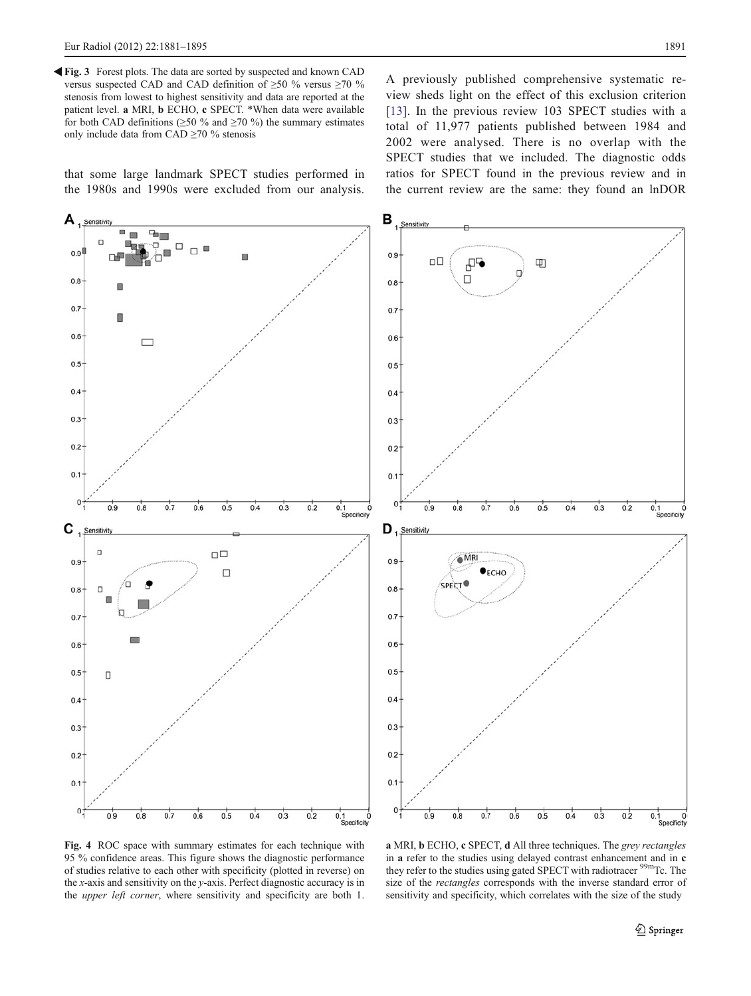<span id="page-10-0"></span>Fig. 3 Forest plots. The data are sorted by suspected and known CAD versus suspected CAD and CAD definition of  $\geq 50$  % versus  $\geq 70$  % stenosis from lowest to highest sensitivity and data are reported at the patient level. a MRI, b ECHO, c SPECT. \*When data were available for both CAD definitions ( $\geq$ 50 % and  $\geq$ 70 %) the summary estimates only include data from CAD  $\geq$ 70 % stenosis

that some large landmark SPECT studies performed in the 1980s and 1990s were excluded from our analysis. A previously published comprehensive systematic review sheds light on the effect of this exclusion criterion [\[13\]](#page-12-0). In the previous review 103 SPECT studies with a total of 11,977 patients published between 1984 and 2002 were analysed. There is no overlap with the SPECT studies that we included. The diagnostic odds ratios for SPECT found in the previous review and in the current review are the same: they found an lnDOR



Fig. 4 ROC space with summary estimates for each technique with 95 % confidence areas. This figure shows the diagnostic performance of studies relative to each other with specificity (plotted in reverse) on the x-axis and sensitivity on the  $y$ -axis. Perfect diagnostic accuracy is in the upper left corner, where sensitivity and specificity are both 1.

a MRI, b ECHO, c SPECT, d All three techniques. The grey rectangles in a refer to the studies using delayed contrast enhancement and in c they refer to the studies using gated SPECT with radiotracer <sup>99m</sup>Tc. The size of the rectangles corresponds with the inverse standard error of sensitivity and specificity, which correlates with the size of the study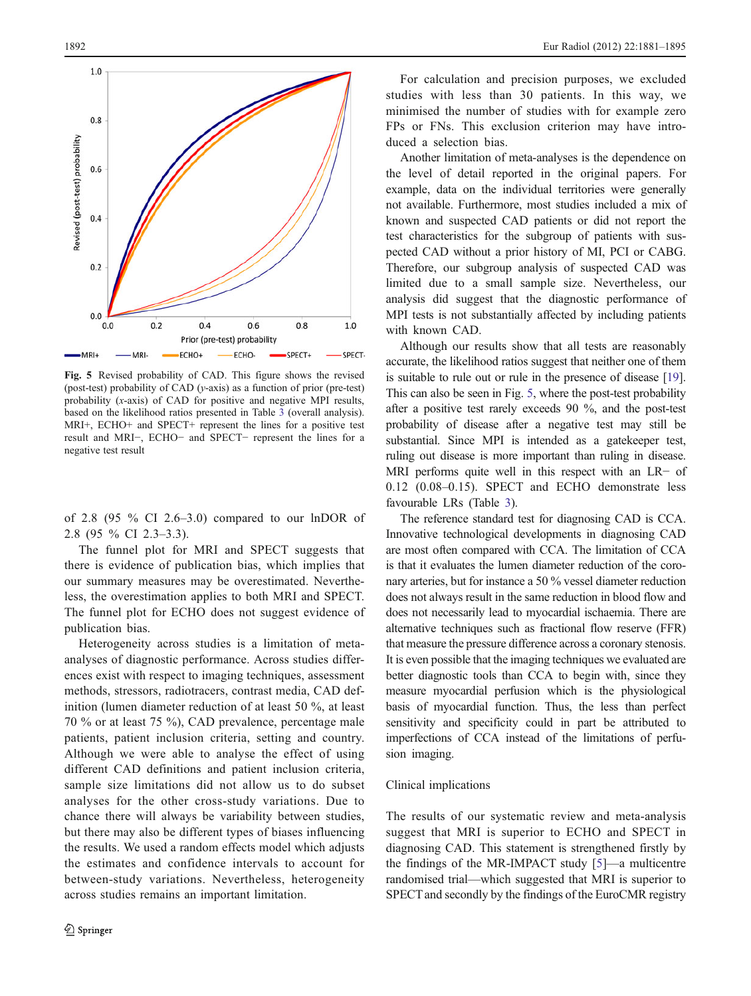<span id="page-11-0"></span>

Fig. 5 Revised probability of CAD. This figure shows the revised (post-test) probability of CAD (y-axis) as a function of prior (pre-test) probability (x-axis) of CAD for positive and negative MPI results, based on the likelihood ratios presented in Table [3](#page-8-0) (overall analysis). MRI+, ECHO+ and SPECT+ represent the lines for a positive test result and MRI−, ECHO− and SPECT− represent the lines for a negative test result

of 2.8 (95  $\%$  CI 2.6–3.0) compared to our lnDOR of 2.8 (95 % CI 2.3–3.3).

The funnel plot for MRI and SPECT suggests that there is evidence of publication bias, which implies that our summary measures may be overestimated. Nevertheless, the overestimation applies to both MRI and SPECT. The funnel plot for ECHO does not suggest evidence of publication bias.

Heterogeneity across studies is a limitation of metaanalyses of diagnostic performance. Across studies differences exist with respect to imaging techniques, assessment methods, stressors, radiotracers, contrast media, CAD definition (lumen diameter reduction of at least 50 %, at least 70 % or at least 75 %), CAD prevalence, percentage male patients, patient inclusion criteria, setting and country. Although we were able to analyse the effect of using different CAD definitions and patient inclusion criteria, sample size limitations did not allow us to do subset analyses for the other cross-study variations. Due to chance there will always be variability between studies, but there may also be different types of biases influencing the results. We used a random effects model which adjusts the estimates and confidence intervals to account for between-study variations. Nevertheless, heterogeneity across studies remains an important limitation.

For calculation and precision purposes, we excluded studies with less than 30 patients. In this way, we minimised the number of studies with for example zero FPs or FNs. This exclusion criterion may have introduced a selection bias.

Another limitation of meta-analyses is the dependence on the level of detail reported in the original papers. For example, data on the individual territories were generally not available. Furthermore, most studies included a mix of known and suspected CAD patients or did not report the test characteristics for the subgroup of patients with suspected CAD without a prior history of MI, PCI or CABG. Therefore, our subgroup analysis of suspected CAD was limited due to a small sample size. Nevertheless, our analysis did suggest that the diagnostic performance of MPI tests is not substantially affected by including patients with known CAD.

Although our results show that all tests are reasonably accurate, the likelihood ratios suggest that neither one of them is suitable to rule out or rule in the presence of disease [\[19\]](#page-12-0). This can also be seen in Fig. 5, where the post-test probability after a positive test rarely exceeds 90 %, and the post-test probability of disease after a negative test may still be substantial. Since MPI is intended as a gatekeeper test, ruling out disease is more important than ruling in disease. MRI performs quite well in this respect with an LR− of 0.12 (0.08–0.15). SPECT and ECHO demonstrate less favourable LRs (Table [3](#page-8-0)).

The reference standard test for diagnosing CAD is CCA. Innovative technological developments in diagnosing CAD are most often compared with CCA. The limitation of CCA is that it evaluates the lumen diameter reduction of the coronary arteries, but for instance a 50 % vessel diameter reduction does not always result in the same reduction in blood flow and does not necessarily lead to myocardial ischaemia. There are alternative techniques such as fractional flow reserve (FFR) that measure the pressure difference across a coronary stenosis. It is even possible that the imaging techniques we evaluated are better diagnostic tools than CCA to begin with, since they measure myocardial perfusion which is the physiological basis of myocardial function. Thus, the less than perfect sensitivity and specificity could in part be attributed to imperfections of CCA instead of the limitations of perfusion imaging.

# Clinical implications

The results of our systematic review and meta-analysis suggest that MRI is superior to ECHO and SPECT in diagnosing CAD. This statement is strengthened firstly by the findings of the MR-IMPACT study [\[5](#page-12-0)]—a multicentre randomised trial—which suggested that MRI is superior to SPECT and secondly by the findings of the EuroCMR registry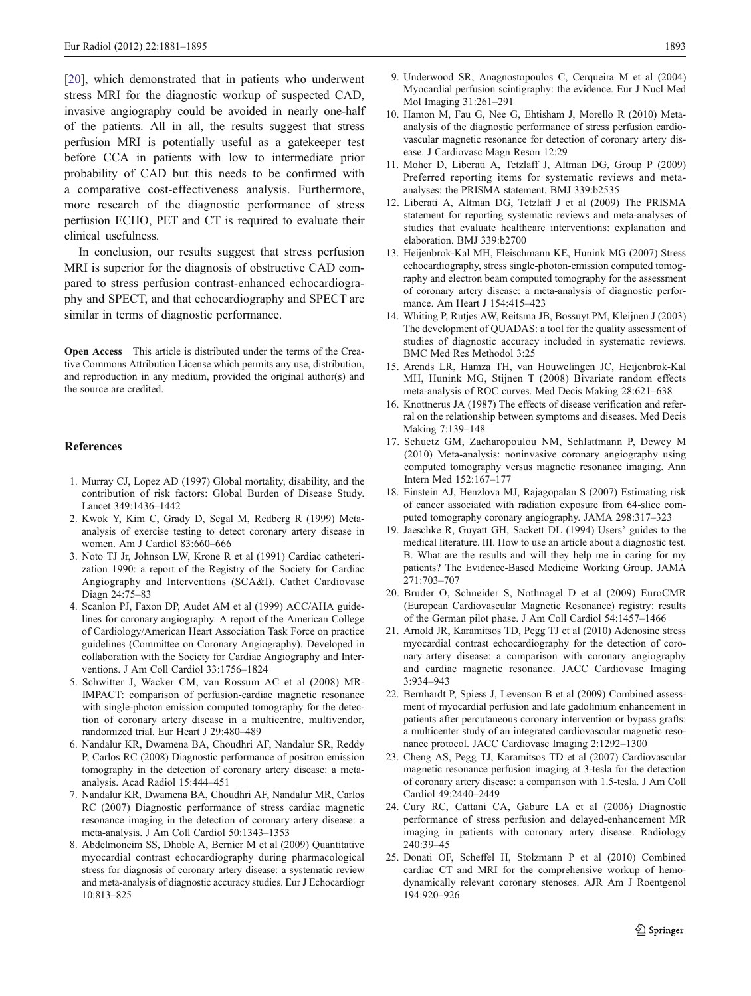<span id="page-12-0"></span>[20], which demonstrated that in patients who underwent stress MRI for the diagnostic workup of suspected CAD, invasive angiography could be avoided in nearly one-half of the patients. All in all, the results suggest that stress perfusion MRI is potentially useful as a gatekeeper test before CCA in patients with low to intermediate prior probability of CAD but this needs to be confirmed with a comparative cost-effectiveness analysis. Furthermore, more research of the diagnostic performance of stress perfusion ECHO, PET and CT is required to evaluate their clinical usefulness.

In conclusion, our results suggest that stress perfusion MRI is superior for the diagnosis of obstructive CAD compared to stress perfusion contrast-enhanced echocardiography and SPECT, and that echocardiography and SPECT are similar in terms of diagnostic performance.

Open Access This article is distributed under the terms of the Creative Commons Attribution License which permits any use, distribution, and reproduction in any medium, provided the original author(s) and the source are credited.

## References

- 1. Murray CJ, Lopez AD (1997) Global mortality, disability, and the contribution of risk factors: Global Burden of Disease Study. Lancet 349:1436–1442
- 2. Kwok Y, Kim C, Grady D, Segal M, Redberg R (1999) Metaanalysis of exercise testing to detect coronary artery disease in women. Am J Cardiol 83:660–666
- 3. Noto TJ Jr, Johnson LW, Krone R et al (1991) Cardiac catheterization 1990: a report of the Registry of the Society for Cardiac Angiography and Interventions (SCA&I). Cathet Cardiovasc Diagn 24:75–83
- 4. Scanlon PJ, Faxon DP, Audet AM et al (1999) ACC/AHA guidelines for coronary angiography. A report of the American College of Cardiology/American Heart Association Task Force on practice guidelines (Committee on Coronary Angiography). Developed in collaboration with the Society for Cardiac Angiography and Interventions. J Am Coll Cardiol 33:1756–1824
- 5. Schwitter J, Wacker CM, van Rossum AC et al (2008) MR-IMPACT: comparison of perfusion-cardiac magnetic resonance with single-photon emission computed tomography for the detection of coronary artery disease in a multicentre, multivendor, randomized trial. Eur Heart J 29:480–489
- 6. Nandalur KR, Dwamena BA, Choudhri AF, Nandalur SR, Reddy P, Carlos RC (2008) Diagnostic performance of positron emission tomography in the detection of coronary artery disease: a metaanalysis. Acad Radiol 15:444–451
- 7. Nandalur KR, Dwamena BA, Choudhri AF, Nandalur MR, Carlos RC (2007) Diagnostic performance of stress cardiac magnetic resonance imaging in the detection of coronary artery disease: a meta-analysis. J Am Coll Cardiol 50:1343–1353
- 8. Abdelmoneim SS, Dhoble A, Bernier M et al (2009) Quantitative myocardial contrast echocardiography during pharmacological stress for diagnosis of coronary artery disease: a systematic review and meta-analysis of diagnostic accuracy studies. Eur J Echocardiogr 10:813–825
- 9. Underwood SR, Anagnostopoulos C, Cerqueira M et al (2004) Myocardial perfusion scintigraphy: the evidence. Eur J Nucl Med Mol Imaging 31:261–291
- 10. Hamon M, Fau G, Nee G, Ehtisham J, Morello R (2010) Metaanalysis of the diagnostic performance of stress perfusion cardiovascular magnetic resonance for detection of coronary artery disease. J Cardiovasc Magn Reson 12:29
- 11. Moher D, Liberati A, Tetzlaff J, Altman DG, Group P (2009) Preferred reporting items for systematic reviews and metaanalyses: the PRISMA statement. BMJ 339:b2535
- 12. Liberati A, Altman DG, Tetzlaff J et al (2009) The PRISMA statement for reporting systematic reviews and meta-analyses of studies that evaluate healthcare interventions: explanation and elaboration. BMJ 339:b2700
- 13. Heijenbrok-Kal MH, Fleischmann KE, Hunink MG (2007) Stress echocardiography, stress single-photon-emission computed tomography and electron beam computed tomography for the assessment of coronary artery disease: a meta-analysis of diagnostic performance. Am Heart J 154:415–423
- 14. Whiting P, Rutjes AW, Reitsma JB, Bossuyt PM, Kleijnen J (2003) The development of QUADAS: a tool for the quality assessment of studies of diagnostic accuracy included in systematic reviews. BMC Med Res Methodol 3:25
- 15. Arends LR, Hamza TH, van Houwelingen JC, Heijenbrok-Kal MH, Hunink MG, Stijnen T (2008) Bivariate random effects meta-analysis of ROC curves. Med Decis Making 28:621–638
- 16. Knottnerus JA (1987) The effects of disease verification and referral on the relationship between symptoms and diseases. Med Decis Making 7:139–148
- 17. Schuetz GM, Zacharopoulou NM, Schlattmann P, Dewey M (2010) Meta-analysis: noninvasive coronary angiography using computed tomography versus magnetic resonance imaging. Ann Intern Med 152:167–177
- 18. Einstein AJ, Henzlova MJ, Rajagopalan S (2007) Estimating risk of cancer associated with radiation exposure from 64-slice computed tomography coronary angiography. JAMA 298:317–323
- 19. Jaeschke R, Guyatt GH, Sackett DL (1994) Users' guides to the medical literature. III. How to use an article about a diagnostic test. B. What are the results and will they help me in caring for my patients? The Evidence-Based Medicine Working Group. JAMA 271:703–707
- 20. Bruder O, Schneider S, Nothnagel D et al (2009) EuroCMR (European Cardiovascular Magnetic Resonance) registry: results of the German pilot phase. J Am Coll Cardiol 54:1457–1466
- 21. Arnold JR, Karamitsos TD, Pegg TJ et al (2010) Adenosine stress myocardial contrast echocardiography for the detection of coronary artery disease: a comparison with coronary angiography and cardiac magnetic resonance. JACC Cardiovasc Imaging 3:934–943
- 22. Bernhardt P, Spiess J, Levenson B et al (2009) Combined assessment of myocardial perfusion and late gadolinium enhancement in patients after percutaneous coronary intervention or bypass grafts: a multicenter study of an integrated cardiovascular magnetic resonance protocol. JACC Cardiovasc Imaging 2:1292–1300
- 23. Cheng AS, Pegg TJ, Karamitsos TD et al (2007) Cardiovascular magnetic resonance perfusion imaging at 3-tesla for the detection of coronary artery disease: a comparison with 1.5-tesla. J Am Coll Cardiol 49:2440–2449
- 24. Cury RC, Cattani CA, Gabure LA et al (2006) Diagnostic performance of stress perfusion and delayed-enhancement MR imaging in patients with coronary artery disease. Radiology 240:39–45
- 25. Donati OF, Scheffel H, Stolzmann P et al (2010) Combined cardiac CT and MRI for the comprehensive workup of hemodynamically relevant coronary stenoses. AJR Am J Roentgenol 194:920–926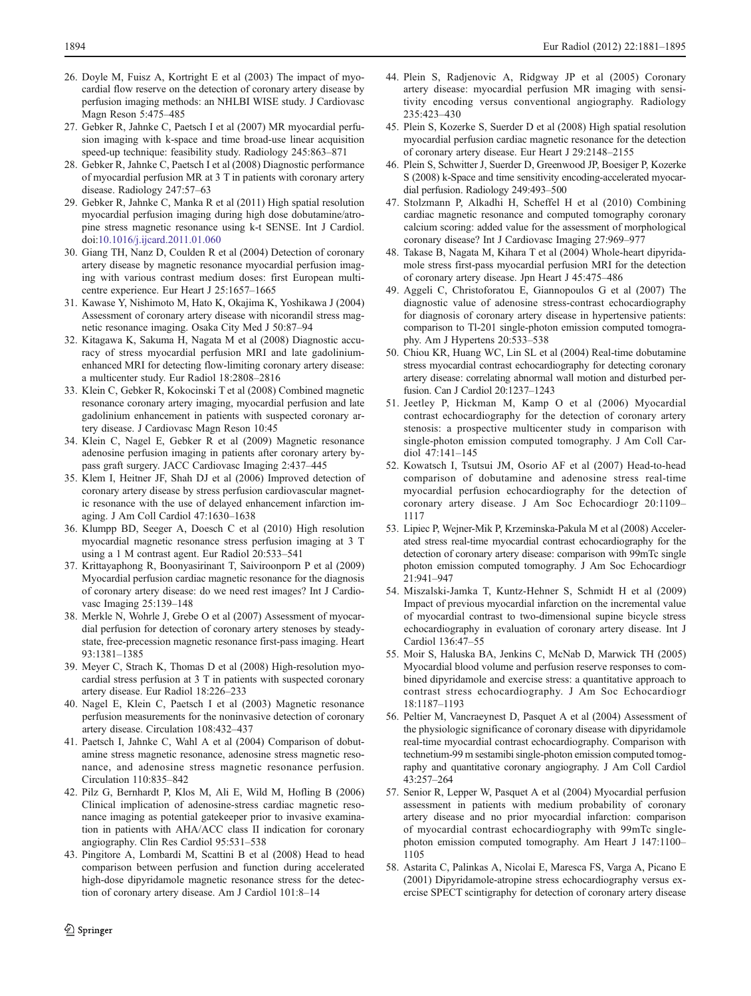- <span id="page-13-0"></span>26. Doyle M, Fuisz A, Kortright E et al (2003) The impact of myocardial flow reserve on the detection of coronary artery disease by perfusion imaging methods: an NHLBI WISE study. J Cardiovasc Magn Reson 5:475–485
- 27. Gebker R, Jahnke C, Paetsch I et al (2007) MR myocardial perfusion imaging with k-space and time broad-use linear acquisition speed-up technique: feasibility study. Radiology 245:863–871
- 28. Gebker R, Jahnke C, Paetsch I et al (2008) Diagnostic performance of myocardial perfusion MR at 3 T in patients with coronary artery disease. Radiology 247:57–63
- 29. Gebker R, Jahnke C, Manka R et al (2011) High spatial resolution myocardial perfusion imaging during high dose dobutamine/atropine stress magnetic resonance using k-t SENSE. Int J Cardiol. doi[:10.1016/j.ijcard.2011.01.060](http://dx.doi.org/10.1016/j.ijcard.2011.01.060)
- 30. Giang TH, Nanz D, Coulden R et al (2004) Detection of coronary artery disease by magnetic resonance myocardial perfusion imaging with various contrast medium doses: first European multicentre experience. Eur Heart J 25:1657–1665
- 31. Kawase Y, Nishimoto M, Hato K, Okajima K, Yoshikawa J (2004) Assessment of coronary artery disease with nicorandil stress magnetic resonance imaging. Osaka City Med J 50:87–94
- 32. Kitagawa K, Sakuma H, Nagata M et al (2008) Diagnostic accuracy of stress myocardial perfusion MRI and late gadoliniumenhanced MRI for detecting flow-limiting coronary artery disease: a multicenter study. Eur Radiol 18:2808–2816
- 33. Klein C, Gebker R, Kokocinski T et al (2008) Combined magnetic resonance coronary artery imaging, myocardial perfusion and late gadolinium enhancement in patients with suspected coronary artery disease. J Cardiovasc Magn Reson 10:45
- 34. Klein C, Nagel E, Gebker R et al (2009) Magnetic resonance adenosine perfusion imaging in patients after coronary artery bypass graft surgery. JACC Cardiovasc Imaging 2:437–445
- 35. Klem I, Heitner JF, Shah DJ et al (2006) Improved detection of coronary artery disease by stress perfusion cardiovascular magnetic resonance with the use of delayed enhancement infarction imaging. J Am Coll Cardiol 47:1630–1638
- 36. Klumpp BD, Seeger A, Doesch C et al (2010) High resolution myocardial magnetic resonance stress perfusion imaging at 3 T using a 1 M contrast agent. Eur Radiol 20:533–541
- 37. Krittayaphong R, Boonyasirinant T, Saiviroonporn P et al (2009) Myocardial perfusion cardiac magnetic resonance for the diagnosis of coronary artery disease: do we need rest images? Int J Cardiovasc Imaging 25:139–148
- 38. Merkle N, Wohrle J, Grebe O et al (2007) Assessment of myocardial perfusion for detection of coronary artery stenoses by steadystate, free-precession magnetic resonance first-pass imaging. Heart 93:1381–1385
- 39. Meyer C, Strach K, Thomas D et al (2008) High-resolution myocardial stress perfusion at 3 T in patients with suspected coronary artery disease. Eur Radiol 18:226–233
- 40. Nagel E, Klein C, Paetsch I et al (2003) Magnetic resonance perfusion measurements for the noninvasive detection of coronary artery disease. Circulation 108:432–437
- 41. Paetsch I, Jahnke C, Wahl A et al (2004) Comparison of dobutamine stress magnetic resonance, adenosine stress magnetic resonance, and adenosine stress magnetic resonance perfusion. Circulation 110:835–842
- 42. Pilz G, Bernhardt P, Klos M, Ali E, Wild M, Hofling B (2006) Clinical implication of adenosine-stress cardiac magnetic resonance imaging as potential gatekeeper prior to invasive examination in patients with AHA/ACC class II indication for coronary angiography. Clin Res Cardiol 95:531–538
- 43. Pingitore A, Lombardi M, Scattini B et al (2008) Head to head comparison between perfusion and function during accelerated high-dose dipyridamole magnetic resonance stress for the detection of coronary artery disease. Am J Cardiol 101:8–14
- 44. Plein S, Radjenovic A, Ridgway JP et al (2005) Coronary artery disease: myocardial perfusion MR imaging with sensitivity encoding versus conventional angiography. Radiology 235:423–430
- 45. Plein S, Kozerke S, Suerder D et al (2008) High spatial resolution myocardial perfusion cardiac magnetic resonance for the detection of coronary artery disease. Eur Heart J 29:2148–2155
- 46. Plein S, Schwitter J, Suerder D, Greenwood JP, Boesiger P, Kozerke S (2008) k-Space and time sensitivity encoding-accelerated myocardial perfusion. Radiology 249:493–500
- 47. Stolzmann P, Alkadhi H, Scheffel H et al (2010) Combining cardiac magnetic resonance and computed tomography coronary calcium scoring: added value for the assessment of morphological coronary disease? Int J Cardiovasc Imaging 27:969–977
- 48. Takase B, Nagata M, Kihara T et al (2004) Whole-heart dipyridamole stress first-pass myocardial perfusion MRI for the detection of coronary artery disease. Jpn Heart J 45:475–486
- 49. Aggeli C, Christoforatou E, Giannopoulos G et al (2007) The diagnostic value of adenosine stress-contrast echocardiography for diagnosis of coronary artery disease in hypertensive patients: comparison to Tl-201 single-photon emission computed tomography. Am J Hypertens 20:533–538
- 50. Chiou KR, Huang WC, Lin SL et al (2004) Real-time dobutamine stress myocardial contrast echocardiography for detecting coronary artery disease: correlating abnormal wall motion and disturbed perfusion. Can J Cardiol 20:1237–1243
- 51. Jeetley P, Hickman M, Kamp O et al (2006) Myocardial contrast echocardiography for the detection of coronary artery stenosis: a prospective multicenter study in comparison with single-photon emission computed tomography. J Am Coll Cardiol 47:141–145
- 52. Kowatsch I, Tsutsui JM, Osorio AF et al (2007) Head-to-head comparison of dobutamine and adenosine stress real-time myocardial perfusion echocardiography for the detection of coronary artery disease. J Am Soc Echocardiogr 20:1109– 1117
- 53. Lipiec P, Wejner-Mik P, Krzeminska-Pakula M et al (2008) Accelerated stress real-time myocardial contrast echocardiography for the detection of coronary artery disease: comparison with 99mTc single photon emission computed tomography. J Am Soc Echocardiogr 21:941–947
- 54. Miszalski-Jamka T, Kuntz-Hehner S, Schmidt H et al (2009) Impact of previous myocardial infarction on the incremental value of myocardial contrast to two-dimensional supine bicycle stress echocardiography in evaluation of coronary artery disease. Int J Cardiol 136:47–55
- 55. Moir S, Haluska BA, Jenkins C, McNab D, Marwick TH (2005) Myocardial blood volume and perfusion reserve responses to combined dipyridamole and exercise stress: a quantitative approach to contrast stress echocardiography. J Am Soc Echocardiogr 18:1187–1193
- 56. Peltier M, Vancraeynest D, Pasquet A et al (2004) Assessment of the physiologic significance of coronary disease with dipyridamole real-time myocardial contrast echocardiography. Comparison with technetium-99 m sestamibi single-photon emission computed tomography and quantitative coronary angiography. J Am Coll Cardiol 43:257–264
- 57. Senior R, Lepper W, Pasquet A et al (2004) Myocardial perfusion assessment in patients with medium probability of coronary artery disease and no prior myocardial infarction: comparison of myocardial contrast echocardiography with 99mTc singlephoton emission computed tomography. Am Heart J 147:1100– 1105
- 58. Astarita C, Palinkas A, Nicolai E, Maresca FS, Varga A, Picano E (2001) Dipyridamole-atropine stress echocardiography versus exercise SPECT scintigraphy for detection of coronary artery disease